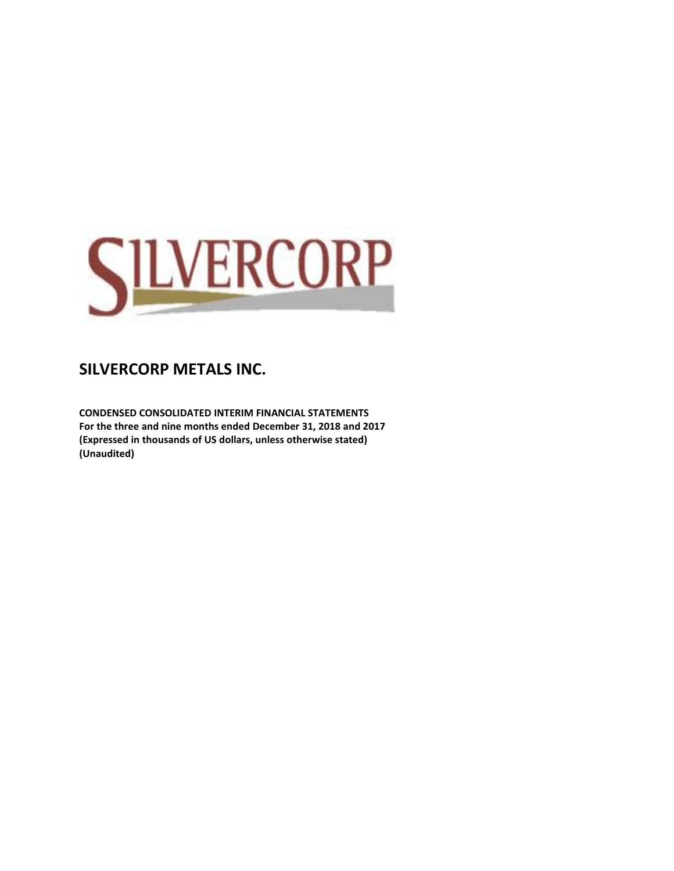

**CONDENSED CONSOLIDATED INTERIM FINANCIAL STATEMENTS For the three and nine months ended December 31, 2018 and 2017 (Expressed in thousands of US dollars, unless otherwise stated) (Unaudited)**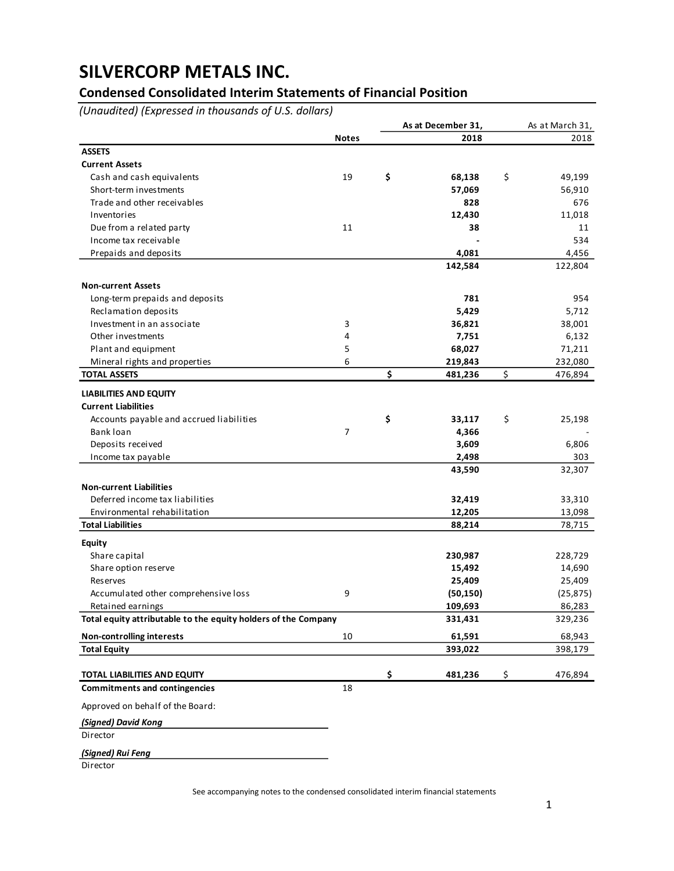## **Condensed Consolidated Interim Statements of Financial Position**

*(Unaudited) (Expressed in thousands of U.S. dollars)*

|                                                                |              | As at December 31, | As at March 31,   |
|----------------------------------------------------------------|--------------|--------------------|-------------------|
|                                                                | <b>Notes</b> | 2018               | 2018              |
| <b>ASSETS</b>                                                  |              |                    |                   |
| <b>Current Assets</b>                                          |              |                    |                   |
| Cash and cash equivalents                                      | 19           | \$<br>68,138       | \$<br>49,199      |
| Short-term investments                                         |              | 57,069             | 56,910            |
| Trade and other receivables                                    |              | 828                | 676               |
| Inventories                                                    |              | 12,430             | 11,018            |
| Due from a related party                                       | 11           | 38                 | 11                |
| Income tax receivable                                          |              |                    | 534               |
| Prepaids and deposits                                          |              | 4,081              | 4,456             |
|                                                                |              | 142,584            | 122,804           |
| <b>Non-current Assets</b>                                      |              |                    |                   |
| Long-term prepaids and deposits                                |              | 781                | 954               |
| Reclamation deposits                                           |              | 5,429              | 5,712             |
| Investment in an associate                                     | 3            | 36,821             | 38,001            |
| Other investments                                              | 4            | 7,751              | 6,132             |
| Plant and equipment                                            | 5            | 68,027             | 71,211            |
| Mineral rights and properties                                  | 6            | 219,843            | 232,080           |
| <b>TOTAL ASSETS</b>                                            |              | \$<br>481,236      | \$<br>476,894     |
|                                                                |              |                    |                   |
| <b>LIABILITIES AND EQUITY</b>                                  |              |                    |                   |
| <b>Current Liabilities</b>                                     |              |                    |                   |
| Accounts payable and accrued liabilities                       |              | \$<br>33,117       | \$<br>25,198      |
| Bank loan                                                      | 7            | 4,366              |                   |
| Deposits received                                              |              | 3,609              | 6,806             |
| Income tax payable                                             |              | 2,498              | 303               |
|                                                                |              | 43,590             | 32,307            |
| <b>Non-current Liabilities</b>                                 |              |                    |                   |
| Deferred income tax liabilities                                |              | 32,419             | 33,310            |
| Environmental rehabilitation                                   |              | 12,205             | 13,098            |
| <b>Total Liabilities</b>                                       |              | 88,214             | 78,715            |
| <b>Equity</b>                                                  |              |                    |                   |
| Share capital                                                  |              | 230,987            | 228,729           |
| Share option reserve                                           |              | 15,492             | 14,690            |
| Reserves                                                       |              | 25,409             | 25,409            |
| Accumulated other comprehensive loss                           | 9            | (50, 150)          | (25, 875)         |
| Retained earnings                                              |              | 109,693            | 86,283            |
| Total equity attributable to the equity holders of the Company |              | 331,431            | 329,236           |
|                                                                |              |                    |                   |
| <b>Non-controlling interests</b><br><b>Total Equity</b>        | 10           | 61,591<br>393,022  | 68,943<br>398,179 |
|                                                                |              |                    |                   |
| <b>TOTAL LIABILITIES AND EQUITY</b>                            |              | \$<br>481,236      | \$<br>476,894     |
| <b>Commitments and contingencies</b>                           | 18           |                    |                   |
| Approved on behalf of the Board:                               |              |                    |                   |
| (Signed) David Kong                                            |              |                    |                   |
| Director                                                       |              |                    |                   |
|                                                                |              |                    |                   |
| (Signed) Rui Feng                                              |              |                    |                   |
| Director                                                       |              |                    |                   |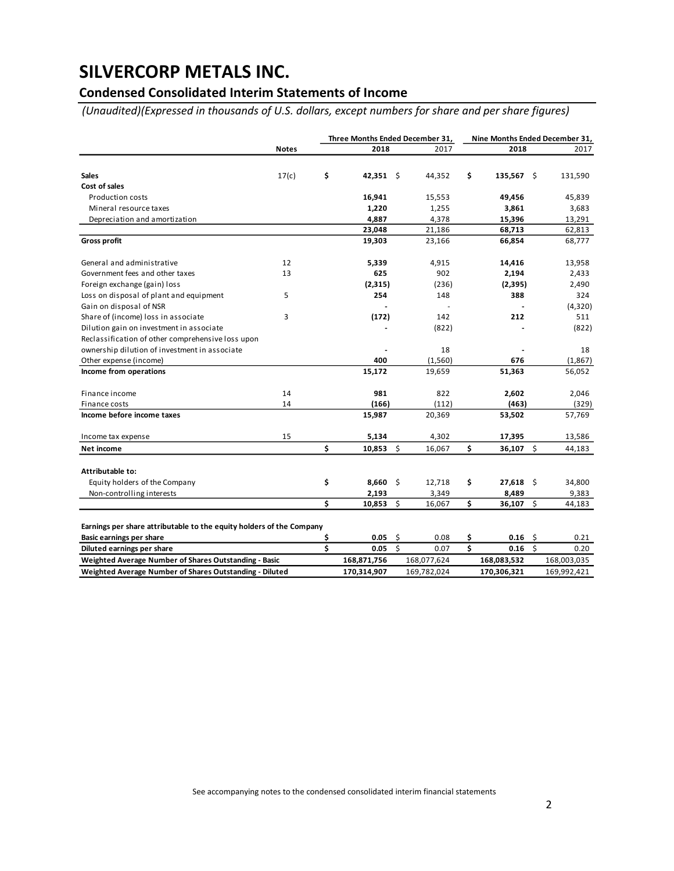## **Condensed Consolidated Interim Statements of Income**

*(Unaudited)(Expressed in thousands of U.S. dollars, except numbers for share and per share figures)*

|                                                                      |              |    | Three Months Ended December 31, |                     |             |    |              |              | Nine Months Ended December 31, |  |  |  |
|----------------------------------------------------------------------|--------------|----|---------------------------------|---------------------|-------------|----|--------------|--------------|--------------------------------|--|--|--|
|                                                                      | <b>Notes</b> |    | 2018                            |                     | 2017        |    | 2018         |              | 2017                           |  |  |  |
|                                                                      |              |    |                                 |                     |             |    |              |              |                                |  |  |  |
| <b>Sales</b>                                                         | 17(c)        | \$ | 42,351 \$                       |                     | 44,352      | \$ | $135,567$ \$ |              | 131,590                        |  |  |  |
| Cost of sales                                                        |              |    |                                 |                     |             |    |              |              |                                |  |  |  |
| <b>Production costs</b>                                              |              |    | 16,941                          |                     | 15,553      |    | 49,456       |              | 45,839                         |  |  |  |
| Mineral resource taxes                                               |              |    | 1,220                           |                     | 1,255       |    | 3,861        |              | 3,683                          |  |  |  |
| Depreciation and amortization                                        |              |    | 4,887                           |                     | 4,378       |    | 15,396       |              | 13,291                         |  |  |  |
|                                                                      |              |    | 23,048                          |                     | 21,186      |    | 68,713       |              | 62,813                         |  |  |  |
| <b>Gross profit</b>                                                  |              |    | 19,303                          |                     | 23,166      |    | 66,854       |              | 68,777                         |  |  |  |
| General and administrative                                           | 12           |    | 5,339                           |                     | 4,915       |    | 14,416       |              | 13,958                         |  |  |  |
| Government fees and other taxes                                      | 13           |    | 625                             |                     | 902         |    | 2,194        |              | 2,433                          |  |  |  |
| Foreign exchange (gain) loss                                         |              |    | (2, 315)                        |                     | (236)       |    | (2,395)      |              | 2,490                          |  |  |  |
| Loss on disposal of plant and equipment                              | 5            |    | 254                             |                     | 148         |    | 388          |              | 324                            |  |  |  |
| Gain on disposal of NSR                                              |              |    |                                 |                     |             |    |              |              | (4,320)                        |  |  |  |
| Share of (income) loss in associate                                  | 3            |    | (172)                           |                     | 142         |    | 212          |              | 511                            |  |  |  |
| Dilution gain on investment in associate                             |              |    |                                 |                     | (822)       |    |              |              | (822)                          |  |  |  |
| Reclassification of other comprehensive loss upon                    |              |    |                                 |                     |             |    |              |              |                                |  |  |  |
| ownership dilution of investment in associate                        |              |    |                                 |                     | 18          |    |              |              | 18                             |  |  |  |
| Other expense (income)                                               |              |    | 400                             |                     | (1, 560)    |    | 676          |              | (1,867)                        |  |  |  |
| Income from operations                                               |              |    | 15,172                          |                     | 19,659      |    | 51,363       |              | 56,052                         |  |  |  |
| Finance income                                                       | 14           |    | 981                             |                     | 822         |    | 2,602        |              | 2,046                          |  |  |  |
| Finance costs                                                        | 14           |    | (166)                           |                     | (112)       |    | (463)        |              | (329)                          |  |  |  |
| Income before income taxes                                           |              |    | 15,987                          |                     | 20,369      |    | 53,502       |              | 57,769                         |  |  |  |
| Income tax expense                                                   | 15           |    | 5,134                           |                     | 4,302       |    | 17,395       |              | 13,586                         |  |  |  |
| Net income                                                           |              | \$ | 10,853                          | $\ddot{\mathsf{S}}$ | 16,067      | \$ | 36,107 \$    |              | 44,183                         |  |  |  |
| Attributable to:                                                     |              |    |                                 |                     |             |    |              |              |                                |  |  |  |
| Equity holders of the Company                                        |              | \$ | $8,660$ \$                      |                     | 12,718      | \$ | $27,618$ \$  |              | 34,800                         |  |  |  |
| Non-controlling interests                                            |              |    | 2,193                           |                     | 3,349       |    | 8,489        |              | 9,383                          |  |  |  |
|                                                                      |              | Ś  | 10,853                          | \$                  | 16,067      | \$ | 36,107 \$    |              | 44,183                         |  |  |  |
|                                                                      |              |    |                                 |                     |             |    |              |              |                                |  |  |  |
| Earnings per share attributable to the equity holders of the Company |              |    |                                 |                     |             |    |              |              |                                |  |  |  |
| Basic earnings per share                                             |              | \$ | 0.05                            | \$                  | 0.08        | \$ | $0.16$ \$    |              | 0.21                           |  |  |  |
| Diluted earnings per share                                           |              | \$ | 0.05                            | $\mathsf{\hat{S}}$  | 0.07        | Ś  | 0.16         | $\mathsf{S}$ | 0.20                           |  |  |  |
| Weighted Average Number of Shares Outstanding - Basic                |              |    | 168,871,756                     |                     | 168,077,624 |    | 168,083,532  |              | 168,003,035                    |  |  |  |
| Weighted Average Number of Shares Outstanding - Diluted              |              |    | 170,314,907                     |                     | 169,782,024 |    | 170,306,321  |              | 169,992,421                    |  |  |  |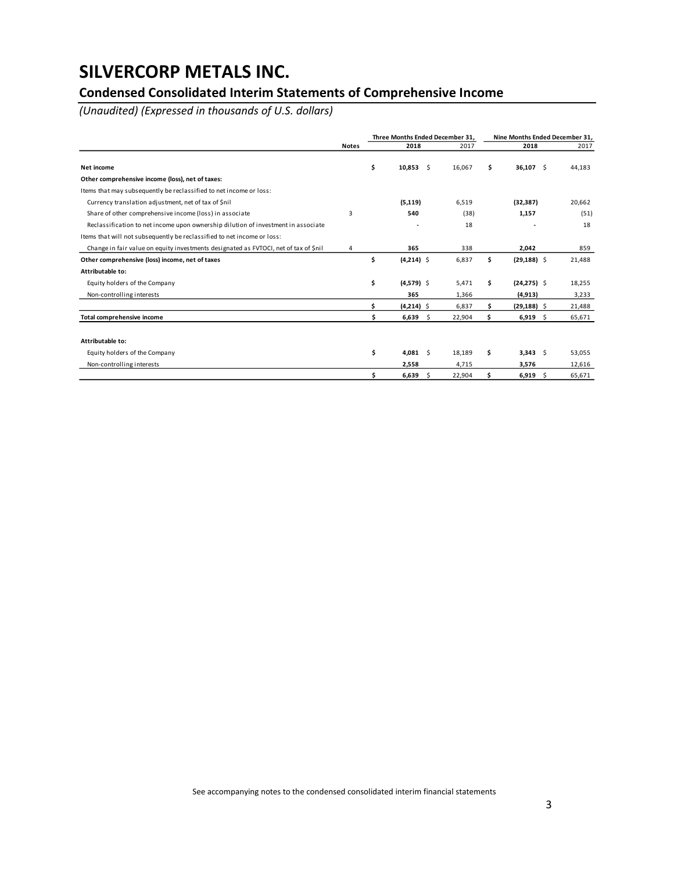## **Condensed Consolidated Interim Statements of Comprehensive Income**

*(Unaudited) (Expressed in thousands of U.S. dollars)*

|                                                                                      |              |    | Three Months Ended December 31. |        |                                                             |                |        |  |  |
|--------------------------------------------------------------------------------------|--------------|----|---------------------------------|--------|-------------------------------------------------------------|----------------|--------|--|--|
|                                                                                      | <b>Notes</b> |    | 2018                            | 2017   |                                                             | 2018           | 2017   |  |  |
| Net income                                                                           |              | \$ | $10,853$ \$                     | 16,067 | \$                                                          | $36,107$ \$    | 44,183 |  |  |
| Other comprehensive income (loss), net of taxes:                                     |              |    |                                 |        |                                                             |                |        |  |  |
| Items that may subsequently be reclassified to net income or loss:                   |              |    |                                 |        |                                                             |                |        |  |  |
| Currency translation adjustment, net of tax of \$nil                                 |              |    | (5, 119)                        | 6,519  |                                                             | (32, 387)      | 20,662 |  |  |
| Share of other comprehensive income (loss) in associate                              | 3            |    | 540                             | (38)   |                                                             | 1,157          | (51)   |  |  |
| Reclassification to net income upon ownership dilution of investment in associate    |              |    |                                 | 18     |                                                             |                | 18     |  |  |
| Items that will not subsequently be reclassified to net income or loss:              |              |    |                                 |        |                                                             |                |        |  |  |
| Change in fair value on equity investments designated as FVTOCI, net of tax of \$nil | 4            |    | 365                             | 338    |                                                             | 2,042          | 859    |  |  |
| Other comprehensive (loss) income, net of taxes                                      |              | \$ | $(4,214)$ \$                    | 6,837  | \$                                                          | $(29, 188)$ \$ | 21,488 |  |  |
| Attributable to:                                                                     |              |    |                                 |        |                                                             |                |        |  |  |
| Equity holders of the Company                                                        |              | \$ | $(4,579)$ \$                    | 5,471  | \$                                                          | $(24, 275)$ \$ | 18,255 |  |  |
| Non-controlling interests                                                            |              |    | 365                             | 1,366  |                                                             | (4, 913)       | 3,233  |  |  |
|                                                                                      |              | Ś  | $(4,214)$ \$                    | 6,837  | \$                                                          | $(29, 188)$ \$ | 21,488 |  |  |
| Total comprehensive income                                                           |              | \$ | 6,639<br>-S                     | 22,904 | \$                                                          | $6,919$ \$     | 65,671 |  |  |
|                                                                                      |              |    |                                 |        |                                                             |                |        |  |  |
| Attributable to:                                                                     |              |    |                                 |        |                                                             |                |        |  |  |
| Equity holders of the Company                                                        |              | \$ | 4,081<br>-Ś                     | 18,189 | \$                                                          | $3,343$ \$     | 53,055 |  |  |
| Non-controlling interests                                                            |              |    | 2,558                           | 4,715  | Nine Months Ended December 31,<br>3,576<br>\$<br>$6,919$ \$ | 12,616         |        |  |  |
|                                                                                      |              | \$ | 6,639<br>-Ŝ                     | 22,904 |                                                             |                | 65.671 |  |  |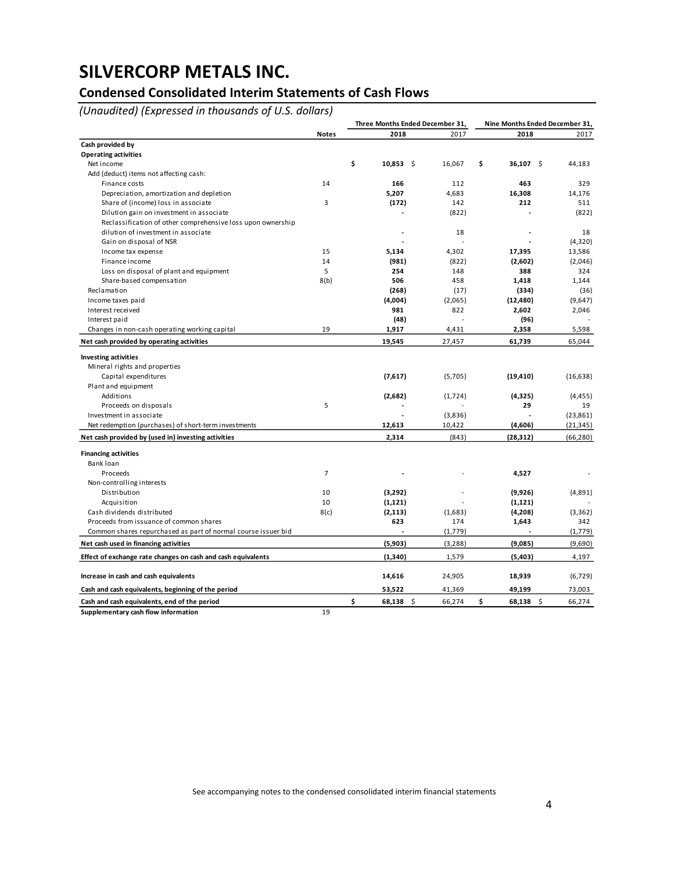## **Condensed Consolidated Interim Statements of Cash Flows**

*(Unaudited) (Expressed in thousands of U.S. dollars)*

|                                                                                     |                | Three Months Ended December 31, |          | Nine Months Ended December 31, |           |  |  |  |  |
|-------------------------------------------------------------------------------------|----------------|---------------------------------|----------|--------------------------------|-----------|--|--|--|--|
|                                                                                     | <b>Notes</b>   | 2018                            | 2017     | 2018                           | 2017      |  |  |  |  |
| Cash provided by                                                                    |                |                                 |          |                                |           |  |  |  |  |
| <b>Operating activities</b>                                                         |                |                                 |          |                                |           |  |  |  |  |
| Net income                                                                          |                | \$<br>$10,853$ \$               | 16,067   | \$<br>$36,107$ \$              | 44,183    |  |  |  |  |
| Add (deduct) items not affecting cash:                                              |                |                                 |          |                                |           |  |  |  |  |
| Finance costs                                                                       | 14             | 166                             | 112      | 463                            | 329       |  |  |  |  |
| Depreciation, amortization and depletion                                            |                | 5,207                           | 4,683    | 16,308                         | 14,176    |  |  |  |  |
| Share of (income) loss in associate                                                 | 3              | (172)                           | 142      | 212                            | 511       |  |  |  |  |
| Dilution gain on investment in associate                                            |                |                                 | (822)    |                                | (822)     |  |  |  |  |
| Reclassification of other comprehensive loss upon ownership                         |                |                                 |          |                                |           |  |  |  |  |
| dilution of investment in associate                                                 |                |                                 | 18       |                                | 18        |  |  |  |  |
| Gain on disposal of NSR                                                             |                |                                 |          |                                | (4,320)   |  |  |  |  |
| Income tax expense                                                                  | 15             | 5,134                           | 4,302    | 17,395                         | 13,586    |  |  |  |  |
| Finance income                                                                      | 14             | (981)                           | (822)    | (2,602)                        | (2,046)   |  |  |  |  |
| Loss on disposal of plant and equipment                                             | 5              | 254                             | 148      | 388                            | 324       |  |  |  |  |
| Share-based compensation                                                            | 8(b)           | 506                             | 458      | 1,418                          | 1,144     |  |  |  |  |
| Reclamation                                                                         |                | (268)                           | (17)     | (334)                          | (36)      |  |  |  |  |
| Income taxes paid                                                                   |                | (4,004)                         | (2,065)  | (12, 480)                      | (9,647)   |  |  |  |  |
| Interest received                                                                   |                | 981                             | 822      | 2,602                          | 2,046     |  |  |  |  |
| Interest paid                                                                       |                | (48)                            | L,       | (96)                           |           |  |  |  |  |
| Changes in non-cash operating working capital                                       | 19             | 1,917                           | 4,431    | 2,358                          | 5,598     |  |  |  |  |
| Net cash provided by operating activities                                           |                | 19,545                          | 27,457   | 61,739                         | 65,044    |  |  |  |  |
| <b>Investing activities</b>                                                         |                |                                 |          |                                |           |  |  |  |  |
| Mineral rights and properties                                                       |                |                                 |          |                                |           |  |  |  |  |
| Capital expenditures                                                                |                | (7,617)                         | (5,705)  | (19, 410)                      | (16, 638) |  |  |  |  |
| Plant and equipment                                                                 |                |                                 |          |                                |           |  |  |  |  |
| Additions                                                                           |                | (2,682)                         | (1,724)  | (4, 325)                       | (4, 455)  |  |  |  |  |
| Proceeds on disposals                                                               | 5              |                                 |          | 29                             | 19        |  |  |  |  |
| Investment in associate                                                             |                |                                 | (3,836)  |                                | (23, 861) |  |  |  |  |
| Net redemption (purchases) of short-term investments                                |                | 12,613                          | 10,422   | (4,606)                        | (21, 345) |  |  |  |  |
| Net cash provided by (used in) investing activities                                 |                | 2,314                           | (843)    | (28, 312)                      | (66, 280) |  |  |  |  |
|                                                                                     |                |                                 |          |                                |           |  |  |  |  |
| <b>Financing activities</b>                                                         |                |                                 |          |                                |           |  |  |  |  |
| Bank loan                                                                           |                |                                 |          |                                |           |  |  |  |  |
| Proceeds                                                                            | $\overline{7}$ |                                 |          | 4,527                          |           |  |  |  |  |
| Non-controlling interests                                                           |                |                                 |          |                                |           |  |  |  |  |
| Distribution                                                                        | 10             | (3,292)                         |          | (9,926)                        | (4,891)   |  |  |  |  |
| Acquisition                                                                         | 10             | (1, 121)                        |          | (1, 121)                       |           |  |  |  |  |
| Cash dividends distributed                                                          | 8(c)           | (2, 113)                        | (1,683)  | (4,208)                        | (3, 362)  |  |  |  |  |
| Proceeds from issuance of common shares                                             |                | 623                             | 174      | 1,643                          | 342       |  |  |  |  |
| Common shares repurchased as part of normal course issuer bid                       |                |                                 | (1,779)  |                                | (1,779)   |  |  |  |  |
| Net cash used in financing activities                                               |                | (5,903)                         | (3, 288) | (9,085)                        | (9,690)   |  |  |  |  |
| Effect of exchange rate changes on cash and cash equivalents                        |                | (1,340)                         | 1,579    | (5,403)                        | 4,197     |  |  |  |  |
| Increase in cash and cash equivalents                                               |                | 14,616                          | 24,905   | 18,939                         | (6, 729)  |  |  |  |  |
| Cash and cash equivalents, beginning of the period                                  |                | 53,522                          | 41,369   | 49,199                         | 73,003    |  |  |  |  |
|                                                                                     |                | \$<br>$68,138$ \$               | 66,274   | \$<br>$68,138$ \$              |           |  |  |  |  |
| Cash and cash equivalents, end of the period<br>Supplementary cash flow information | 19             |                                 |          |                                | 66,274    |  |  |  |  |
|                                                                                     |                |                                 |          |                                |           |  |  |  |  |

See accompanying notes to the condensed consolidated interim financial statements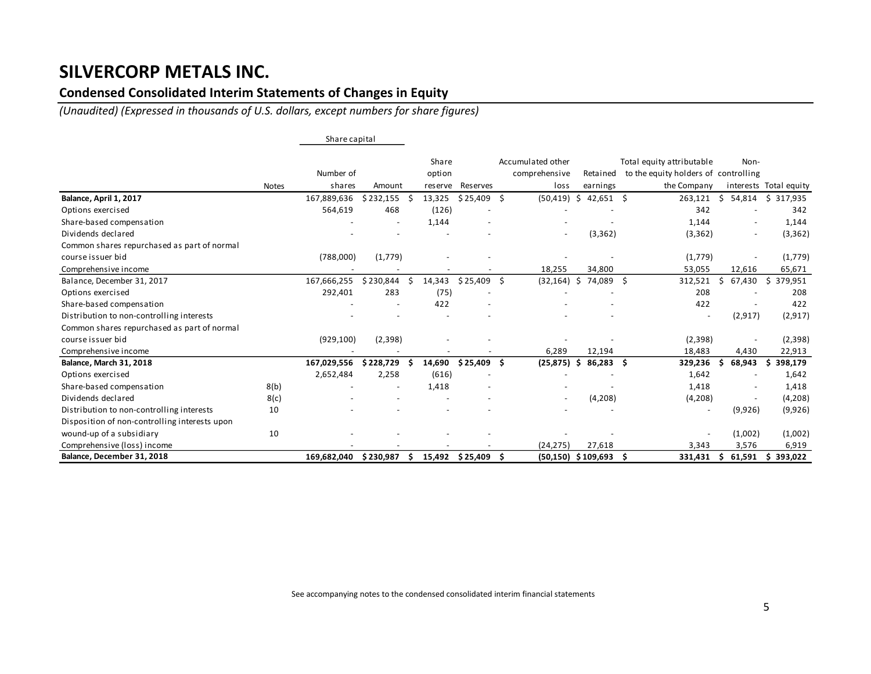### **Condensed Consolidated Interim Statements of Changes in Equity**

*(Unaudited) (Expressed in thousands of U.S. dollars, except numbers for share figures)*

|                                               |              | Share capital |           |                 |                          |     |                                    |     |             |      |                                                                   |     |          |                        |
|-----------------------------------------------|--------------|---------------|-----------|-----------------|--------------------------|-----|------------------------------------|-----|-------------|------|-------------------------------------------------------------------|-----|----------|------------------------|
|                                               |              | Number of     |           | Share<br>option |                          |     | Accumulated other<br>comprehensive |     | Retained    |      | Total equity attributable<br>to the equity holders of controlling |     | Non-     |                        |
|                                               | <b>Notes</b> | shares        | Amount    | reserve         | <b>Reserves</b>          |     | loss                               |     | earnings    |      | the Company                                                       |     |          | interests Total equity |
| Balance, April 1, 2017                        |              | 167,889,636   | \$232,155 | 13,325          | \$25,409                 | -\$ | (50, 419)                          | \$  | $42,651$ \$ |      | 263,121                                                           | Ŝ.  | 54,814   | \$317,935              |
| Options exercised                             |              | 564,619       | 468       | (126)           |                          |     |                                    |     |             |      | 342                                                               |     |          | 342                    |
| Share-based compensation                      |              |               |           | 1,144           |                          |     |                                    |     |             |      | 1,144                                                             |     |          | 1,144                  |
| Dividends declared                            |              |               |           |                 |                          |     | $\overline{\phantom{a}}$           |     | (3, 362)    |      | (3, 362)                                                          |     | $\sim$   | (3, 362)               |
| Common shares repurchased as part of normal   |              |               |           |                 |                          |     |                                    |     |             |      |                                                                   |     |          |                        |
| course issuer bid                             |              | (788,000)     | (1,779)   |                 |                          |     |                                    |     |             |      | (1,779)                                                           |     |          | (1,779)                |
| Comprehensive income                          |              |               |           |                 |                          |     | 18,255                             |     | 34,800      |      | 53,055                                                            |     | 12,616   | 65,671                 |
| Balance, December 31, 2017                    |              | 167,666,255   | \$230,844 | 14,343          | \$25,409                 | -Ś  | (32, 164)                          | S.  | 74,089      | - \$ | 312,521                                                           | Ŝ.  | 67,430   | Ŝ.<br>379,951          |
| Options exercised                             |              | 292,401       | 283       | (75)            |                          |     |                                    |     |             |      | 208                                                               |     |          | 208                    |
| Share-based compensation                      |              |               |           | 422             | $\overline{\phantom{a}}$ |     |                                    |     |             |      | 422                                                               |     |          | 422                    |
| Distribution to non-controlling interests     |              |               |           |                 |                          |     |                                    |     |             |      | $\overline{\phantom{a}}$                                          |     | (2, 917) | (2, 917)               |
| Common shares repurchased as part of normal   |              |               |           |                 |                          |     |                                    |     |             |      |                                                                   |     |          |                        |
| course issuer bid                             |              | (929, 100)    | (2,398)   |                 |                          |     |                                    |     |             |      | (2,398)                                                           |     |          | (2,398)                |
| Comprehensive income                          |              |               |           |                 |                          |     | 6,289                              |     | 12,194      |      | 18,483                                                            |     | 4,430    | 22,913                 |
| <b>Balance, March 31, 2018</b>                |              | 167,029,556   | \$228,729 | 14,690          | \$25,409                 | Ŝ.  | (25, 875)                          | \$. | 86,283 \$   |      | 329,236                                                           | Ŝ.  | 68,943   | 398,179<br>\$.         |
| Options exercised                             |              | 2,652,484     | 2,258     | (616)           |                          |     |                                    |     |             |      | 1,642                                                             |     |          | 1,642                  |
| Share-based compensation                      | 8(b)         |               |           | 1,418           |                          |     |                                    |     |             |      | 1,418                                                             |     |          | 1,418                  |
| Dividends declared                            | 8(c)         |               |           |                 |                          |     |                                    |     | (4,208)     |      | (4,208)                                                           |     |          | (4,208)                |
| Distribution to non-controlling interests     | 10           |               |           |                 |                          |     |                                    |     |             |      | $\overline{\phantom{a}}$                                          |     | (9,926)  | (9,926)                |
| Disposition of non-controlling interests upon |              |               |           |                 |                          |     |                                    |     |             |      |                                                                   |     |          |                        |
| wound-up of a subsidiary                      | 10           |               |           |                 |                          |     |                                    |     |             |      | $\overline{\phantom{a}}$                                          |     | (1,002)  | (1,002)                |
| Comprehensive (loss) income                   |              |               |           |                 |                          |     | (24, 275)                          |     | 27,618      |      | 3,343                                                             |     | 3,576    | 6,919                  |
| Balance, December 31, 2018                    |              | 169,682,040   | \$230,987 | 15,492          | \$ 25,409                |     | $(50, 150)$ \$ 109,693             |     |             | S    | 331,431                                                           | \$. | 61,591   | 393,022<br>\$.         |

See accompanying notes to the condensed consolidated interim financial statements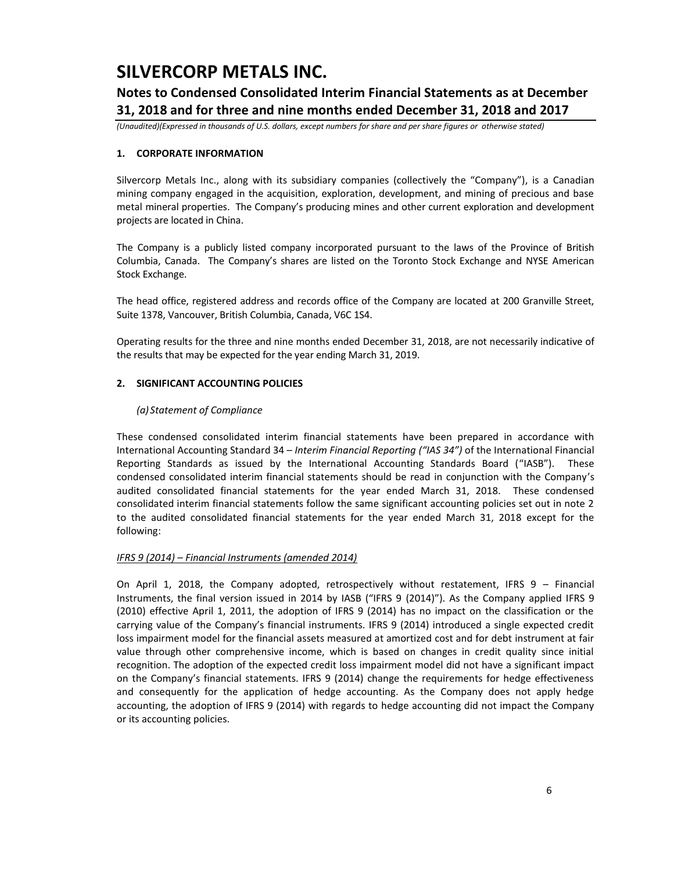### **Notes to Condensed Consolidated Interim Financial Statements as at December 31, 2018 and for three and nine months ended December 31, 2018 and 2017**

*(Unaudited)(Expressed in thousands of U.S. dollars, except numbers for share and per share figures or otherwise stated)*

### **1. CORPORATE INFORMATION**

Silvercorp Metals Inc., along with its subsidiary companies (collectively the "Company"), is a Canadian mining company engaged in the acquisition, exploration, development, and mining of precious and base metal mineral properties. The Company's producing mines and other current exploration and development projects are located in China.

The Company is a publicly listed company incorporated pursuant to the laws of the Province of British Columbia, Canada. The Company's shares are listed on the Toronto Stock Exchange and NYSE American Stock Exchange.

The head office, registered address and records office of the Company are located at 200 Granville Street, Suite 1378, Vancouver, British Columbia, Canada, V6C 1S4.

Operating results for the three and nine months ended December 31, 2018, are not necessarily indicative of the results that may be expected for the year ending March 31, 2019.

### **2. SIGNIFICANT ACCOUNTING POLICIES**

### *(a) Statement of Compliance*

These condensed consolidated interim financial statements have been prepared in accordance with International Accounting Standard 34 – *Interim Financial Reporting ("IAS 34")* of the International Financial Reporting Standards as issued by the International Accounting Standards Board ("IASB"). These condensed consolidated interim financial statements should be read in conjunction with the Company's audited consolidated financial statements for the year ended March 31, 2018. These condensed consolidated interim financial statements follow the same significant accounting policies set out in note 2 to the audited consolidated financial statements for the year ended March 31, 2018 except for the following:

#### *IFRS 9 (2014) – Financial Instruments (amended 2014)*

On April 1, 2018, the Company adopted, retrospectively without restatement, IFRS 9 – Financial Instruments, the final version issued in 2014 by IASB ("IFRS 9 (2014)"). As the Company applied IFRS 9 (2010) effective April 1, 2011, the adoption of IFRS 9 (2014) has no impact on the classification or the carrying value of the Company's financial instruments. IFRS 9 (2014) introduced a single expected credit loss impairment model for the financial assets measured at amortized cost and for debt instrument at fair value through other comprehensive income, which is based on changes in credit quality since initial recognition. The adoption of the expected credit loss impairment model did not have a significant impact on the Company's financial statements. IFRS 9 (2014) change the requirements for hedge effectiveness and consequently for the application of hedge accounting. As the Company does not apply hedge accounting, the adoption of IFRS 9 (2014) with regards to hedge accounting did not impact the Company or its accounting policies.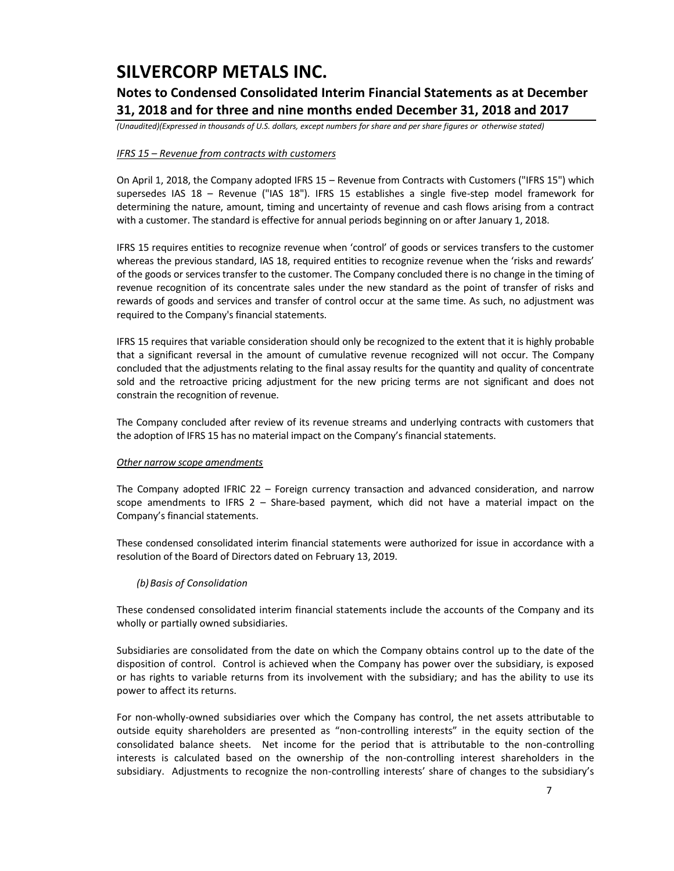## **Notes to Condensed Consolidated Interim Financial Statements as at December 31, 2018 and for three and nine months ended December 31, 2018 and 2017**

*(Unaudited)(Expressed in thousands of U.S. dollars, except numbers for share and per share figures or otherwise stated)*

### *IFRS 15 – Revenue from contracts with customers*

On April 1, 2018, the Company adopted IFRS 15 – Revenue from Contracts with Customers ("IFRS 15") which supersedes IAS 18 – Revenue ("IAS 18"). IFRS 15 establishes a single five-step model framework for determining the nature, amount, timing and uncertainty of revenue and cash flows arising from a contract with a customer. The standard is effective for annual periods beginning on or after January 1, 2018.

IFRS 15 requires entities to recognize revenue when 'control' of goods or services transfers to the customer whereas the previous standard, IAS 18, required entities to recognize revenue when the 'risks and rewards' of the goods or services transfer to the customer. The Company concluded there is no change in the timing of revenue recognition of its concentrate sales under the new standard as the point of transfer of risks and rewards of goods and services and transfer of control occur at the same time. As such, no adjustment was required to the Company's financial statements.

IFRS 15 requires that variable consideration should only be recognized to the extent that it is highly probable that a significant reversal in the amount of cumulative revenue recognized will not occur. The Company concluded that the adjustments relating to the final assay results for the quantity and quality of concentrate sold and the retroactive pricing adjustment for the new pricing terms are not significant and does not constrain the recognition of revenue.

The Company concluded after review of its revenue streams and underlying contracts with customers that the adoption of IFRS 15 has no material impact on the Company's financial statements.

#### *Other narrow scope amendments*

The Company adopted IFRIC 22 – Foreign currency transaction and advanced consideration, and narrow scope amendments to IFRS 2 – Share-based payment, which did not have a material impact on the Company's financial statements.

These condensed consolidated interim financial statements were authorized for issue in accordance with a resolution of the Board of Directors dated on February 13, 2019.

#### *(b)Basis of Consolidation*

These condensed consolidated interim financial statements include the accounts of the Company and its wholly or partially owned subsidiaries.

Subsidiaries are consolidated from the date on which the Company obtains control up to the date of the disposition of control. Control is achieved when the Company has power over the subsidiary, is exposed or has rights to variable returns from its involvement with the subsidiary; and has the ability to use its power to affect its returns.

For non-wholly-owned subsidiaries over which the Company has control, the net assets attributable to outside equity shareholders are presented as "non-controlling interests" in the equity section of the consolidated balance sheets. Net income for the period that is attributable to the non-controlling interests is calculated based on the ownership of the non-controlling interest shareholders in the subsidiary. Adjustments to recognize the non-controlling interests' share of changes to the subsidiary's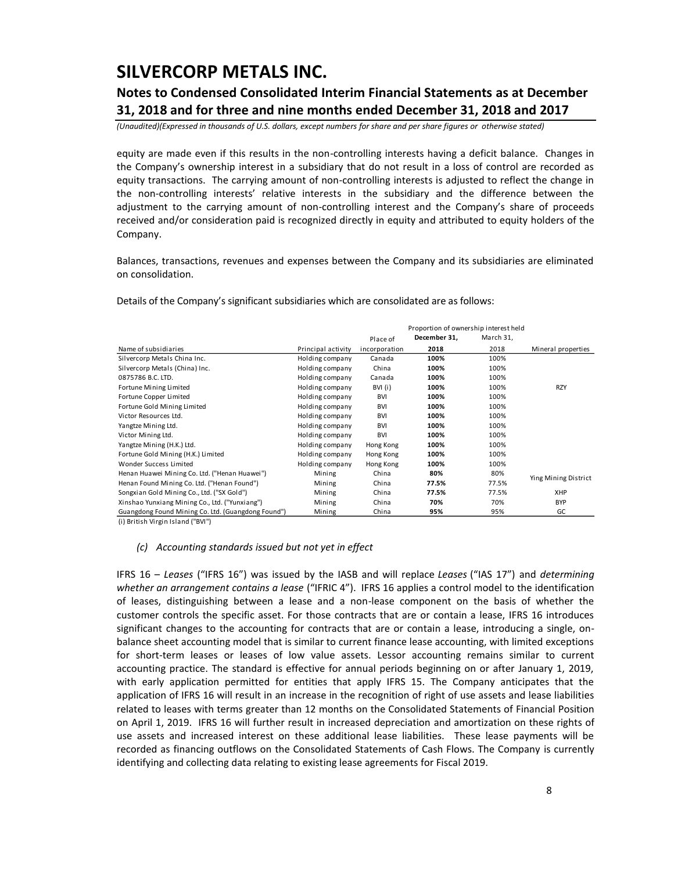### **Notes to Condensed Consolidated Interim Financial Statements as at December 31, 2018 and for three and nine months ended December 31, 2018 and 2017**

*(Unaudited)(Expressed in thousands of U.S. dollars, except numbers for share and per share figures or otherwise stated)*

equity are made even if this results in the non-controlling interests having a deficit balance. Changes in the Company's ownership interest in a subsidiary that do not result in a loss of control are recorded as equity transactions. The carrying amount of non-controlling interests is adjusted to reflect the change in the non-controlling interests' relative interests in the subsidiary and the difference between the adjustment to the carrying amount of non-controlling interest and the Company's share of proceeds received and/or consideration paid is recognized directly in equity and attributed to equity holders of the Company.

Balances, transactions, revenues and expenses between the Company and its subsidiaries are eliminated on consolidation.

Details of the Company's significant subsidiaries which are consolidated are as follows:

|                                                    |                    |               | Proportion of ownership interest held |           |                      |
|----------------------------------------------------|--------------------|---------------|---------------------------------------|-----------|----------------------|
|                                                    |                    | Place of      | December 31,                          | March 31, |                      |
| Name of subsidiaries                               | Principal activity | incorporation | 2018                                  | 2018      | Mineral properties   |
| Silvercorp Metals China Inc.                       | Holding company    | Canada        | 100%                                  | 100%      |                      |
| Silvercorp Metals (China) Inc.                     | Holding company    | China         | 100%                                  | 100%      |                      |
| 0875786 B.C. LTD.                                  | Holding company    | Canada        | 100%                                  | 100%      |                      |
| Fortune Mining Limited                             | Holding company    | BVI (i)       | 100%                                  | 100%      | <b>RZY</b>           |
| Fortune Copper Limited                             | Holding company    | <b>BVI</b>    | 100%                                  | 100%      |                      |
| Fortune Gold Mining Limited                        | Holding company    | <b>BVI</b>    | 100%                                  | 100%      |                      |
| Victor Resources Ltd.                              | Holding company    | <b>BVI</b>    | 100%                                  | 100%      |                      |
| Yangtze Mining Ltd.                                | Holding company    | <b>BVI</b>    | 100%                                  | 100%      |                      |
| Victor Mining Ltd.                                 | Holding company    | <b>BVI</b>    | 100%                                  | 100%      |                      |
| Yangtze Mining (H.K.) Ltd.                         | Holding company    | Hong Kong     | 100%                                  | 100%      |                      |
| Fortune Gold Mining (H.K.) Limited                 | Holding company    | Hong Kong     | 100%                                  | 100%      |                      |
| Wonder Success Limited                             | Holding company    | Hong Kong     | 100%                                  | 100%      |                      |
| Henan Huawei Mining Co. Ltd. ("Henan Huawei")      | Mining             | China         | 80%                                   | 80%       | Ying Mining District |
| Henan Found Mining Co. Ltd. ("Henan Found")        | Mining             | China         | 77.5%                                 | 77.5%     |                      |
| Songxian Gold Mining Co., Ltd. ("SX Gold")         | Mining             | China         | 77.5%                                 | 77.5%     | <b>XHP</b>           |
| Xinshao Yunxiang Mining Co., Ltd. ("Yunxiang")     | Mining             | China         | 70%                                   | 70%       | <b>BYP</b>           |
| Guangdong Found Mining Co. Ltd. (Guangdong Found") | Mining             | China         | 95%                                   | 95%       | GC                   |

(i) British Virgin Island ("BVI")

#### *(c) Accounting standards issued but not yet in effect*

IFRS 16 – *Leases* ("IFRS 16") was issued by the IASB and will replace *Leases* ("IAS 17") and *determining whether an arrangement contains a lease* ("IFRIC 4"). IFRS 16 applies a control model to the identification of leases, distinguishing between a lease and a non-lease component on the basis of whether the customer controls the specific asset. For those contracts that are or contain a lease, IFRS 16 introduces significant changes to the accounting for contracts that are or contain a lease, introducing a single, onbalance sheet accounting model that is similar to current finance lease accounting, with limited exceptions for short-term leases or leases of low value assets. Lessor accounting remains similar to current accounting practice. The standard is effective for annual periods beginning on or after January 1, 2019, with early application permitted for entities that apply IFRS 15. The Company anticipates that the application of IFRS 16 will result in an increase in the recognition of right of use assets and lease liabilities related to leases with terms greater than 12 months on the Consolidated Statements of Financial Position on April 1, 2019. IFRS 16 will further result in increased depreciation and amortization on these rights of use assets and increased interest on these additional lease liabilities. These lease payments will be recorded as financing outflows on the Consolidated Statements of Cash Flows. The Company is currently identifying and collecting data relating to existing lease agreements for Fiscal 2019.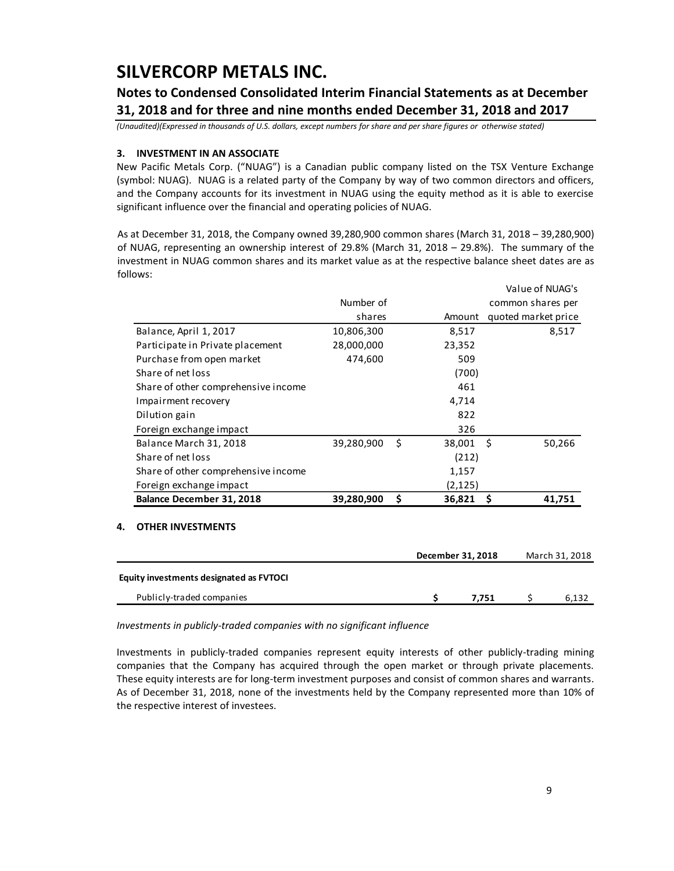### **Notes to Condensed Consolidated Interim Financial Statements as at December 31, 2018 and for three and nine months ended December 31, 2018 and 2017**

*(Unaudited)(Expressed in thousands of U.S. dollars, except numbers for share and per share figures or otherwise stated)*

### **3. INVESTMENT IN AN ASSOCIATE**

New Pacific Metals Corp. ("NUAG") is a Canadian public company listed on the TSX Venture Exchange (symbol: NUAG). NUAG is a related party of the Company by way of two common directors and officers, and the Company accounts for its investment in NUAG using the equity method as it is able to exercise significant influence over the financial and operating policies of NUAG.

As at December 31, 2018, the Company owned 39,280,900 common shares (March 31, 2018 – 39,280,900) of NUAG, representing an ownership interest of 29.8% (March 31, 2018 – 29.8%). The summary of the investment in NUAG common shares and its market value as at the respective balance sheet dates are as follows:

|                                     |            |     |          | Value of NUAG's     |
|-------------------------------------|------------|-----|----------|---------------------|
|                                     | Number of  |     |          | common shares per   |
|                                     | shares     |     | Amount   | quoted market price |
| Balance, April 1, 2017              | 10,806,300 |     | 8,517    | 8,517               |
| Participate in Private placement    | 28,000,000 |     | 23,352   |                     |
| Purchase from open market           | 474,600    |     | 509      |                     |
| Share of net loss                   |            |     | (700)    |                     |
| Share of other comprehensive income |            |     | 461      |                     |
| Impairment recovery                 |            |     | 4,714    |                     |
| Dilution gain                       |            |     | 822      |                     |
| Foreign exchange impact             |            |     | 326      |                     |
| Balance March 31, 2018              | 39,280,900 | - Ś | 38,001   | -Ś<br>50,266        |
| Share of net loss                   |            |     | (212)    |                     |
| Share of other comprehensive income |            |     | 1,157    |                     |
| Foreign exchange impact             |            |     | (2, 125) |                     |
| Balance December 31, 2018           | 39,280,900 | \$. | 36,821   | 41,751<br>S         |
|                                     |            |     |          |                     |

#### **4. OTHER INVESTMENTS**

|                                         | December 31, 2018 | March 31, 2018 |
|-----------------------------------------|-------------------|----------------|
| Equity investments designated as FVTOCI |                   |                |
| Publicly-traded companies               | 7.751             | 6.132          |

*Investments in publicly-traded companies with no significant influence*

Investments in publicly-traded companies represent equity interests of other publicly-trading mining companies that the Company has acquired through the open market or through private placements. These equity interests are for long-term investment purposes and consist of common shares and warrants. As of December 31, 2018, none of the investments held by the Company represented more than 10% of the respective interest of investees.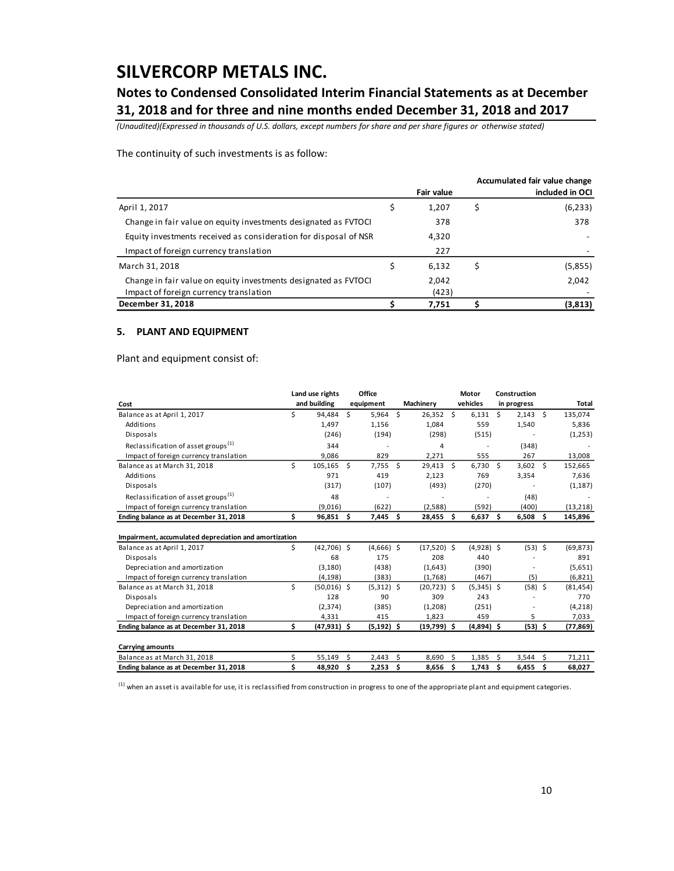### **Notes to Condensed Consolidated Interim Financial Statements as at December 31, 2018 and for three and nine months ended December 31, 2018 and 2017**

*(Unaudited)(Expressed in thousands of U.S. dollars, except numbers for share and per share figures or otherwise stated)*

The continuity of such investments is as follow:

|                                                                  |                   | Accumulated fair value change |
|------------------------------------------------------------------|-------------------|-------------------------------|
|                                                                  | <b>Fair value</b> | included in OCI               |
| April 1, 2017                                                    | 1,207             | (6, 233)                      |
| Change in fair value on equity investments designated as FVTOCI  | 378               | 378                           |
| Equity investments received as consideration for disposal of NSR | 4,320             |                               |
| Impact of foreign currency translation                           | 227               |                               |
| March 31, 2018                                                   | 6.132             | (5,855)                       |
| Change in fair value on equity investments designated as FVTOCI  | 2,042             | 2,042                         |
| Impact of foreign currency translation                           | (423)             |                               |
| December 31, 2018                                                | 7,751             | (3,813)                       |

#### **5. PLANT AND EQUIPMENT**

Plant and equipment consist of:

|                                                       |    | Land use rights |    | Office        |     |                |               | Motor        |               | Construction |      |           |
|-------------------------------------------------------|----|-----------------|----|---------------|-----|----------------|---------------|--------------|---------------|--------------|------|-----------|
| Cost                                                  |    | and building    |    | equipment     |     | Machinery      |               | vehicles     |               | in progress  |      | Total     |
| Balance as at April 1, 2017                           | Ś. | 94.484          | Ś  | 5,964         | Ŝ.  | $26.352$ \$    |               | 6.131        | Ŝ.            | $2,143$ \$   |      | 135,074   |
| Additions                                             |    | 1,497           |    | 1,156         |     | 1.084          |               | 559          |               | 1,540        |      | 5,836     |
| Disposals                                             |    | (246)           |    | (194)         |     | (298)          |               | (515)        |               |              |      | (1,253)   |
| Reclassification of asset groups <sup>(1)</sup>       |    | 344             |    |               |     | 4              |               |              |               | (348)        |      |           |
| Impact of foreign currency translation                |    | 9.086           |    | 829           |     | 2,271          |               | 555          |               | 267          |      | 13,008    |
| Balance as at March 31, 2018                          | Ś. | 105,165 \$      |    | $7,755$ \$    |     | 29,413 \$      |               | $6,730$ \$   |               | $3,602$ \$   |      | 152,665   |
| Additions                                             |    | 971             |    | 419           |     | 2,123          |               | 769          |               | 3,354        |      | 7,636     |
| Disposals                                             |    | (317)           |    | (107)         |     | (493)          |               | (270)        |               |              |      | (1, 187)  |
| Reclassification of asset groups <sup>(1)</sup>       |    | 48              |    |               |     |                |               |              |               | (48)         |      |           |
| Impact of foreign currency translation                |    | (9,016)         |    | (622)         |     | (2,588)        |               | (592)        |               | (400)        |      | (13, 218) |
| Ending balance as at December 31, 2018                | \$ | $96,851$ \$     |    | 7,445         | \$. | 28,455         | \$.           | $6,637$ \$   |               | $6,508$ \$   |      | 145,896   |
| Impairment, accumulated depreciation and amortization |    |                 |    |               |     |                |               |              |               |              |      |           |
| Balance as at April 1, 2017                           | \$ | $(42,706)$ \$   |    | $(4,666)$ \$  |     | $(17,520)$ \$  |               | $(4,928)$ \$ |               | $(53)$ \$    |      | (69, 873) |
| Disposals                                             |    | 68              |    | 175           |     | 208            |               | 440          |               |              |      | 891       |
| Depreciation and amortization                         |    | (3, 180)        |    | (438)         |     | (1,643)        |               | (390)        |               |              |      | (5,651)   |
| Impact of foreign currency translation                |    | (4, 198)        |    | (383)         |     | (1,768)        |               | (467)        |               | (5)          |      | (6,821)   |
| Balance as at March 31, 2018                          | \$ | $(50,016)$ \$   |    | $(5,312)$ \$  |     | $(20, 723)$ \$ |               | $(5,345)$ \$ |               | $(58)$ \$    |      | (81, 454) |
| Disposals                                             |    | 128             |    | 90            |     | 309            |               | 243          |               |              |      | 770       |
| Depreciation and amortization                         |    | (2, 374)        |    | (385)         |     | (1,208)        |               | (251)        |               |              |      | (4,218)   |
| Impact of foreign currency translation                |    | 4,331           |    | 415           |     | 1,823          |               | 459          |               | 5            |      | 7,033     |
| Ending balance as at December 31, 2018                | Ś. | (47,931) \$     |    | $(5, 192)$ \$ |     | (19,799) \$    |               | $(4,894)$ \$ |               | $(53)$ \$    |      | (77, 869) |
| <b>Carrying amounts</b>                               |    |                 |    |               |     |                |               |              |               |              |      |           |
| Balance as at March 31, 2018                          | ς. | 55,149          | Ś  | 2,443         | Ś.  | 8,690          | <sup>\$</sup> | 1,385        | <sup>\$</sup> | 3,544        | Ŝ.   | 71,211    |
| Ending balance as at December 31, 2018                | \$ | 48,920          | \$ | 2,253         | \$  | 8,656          | \$            | 1,743        | \$            | 6,455        | - \$ | 68,027    |

 $<sup>(1)</sup>$  when an asset is available for use, it is reclassified from construction in progress to one of the appropriate plant and equipment categories.</sup>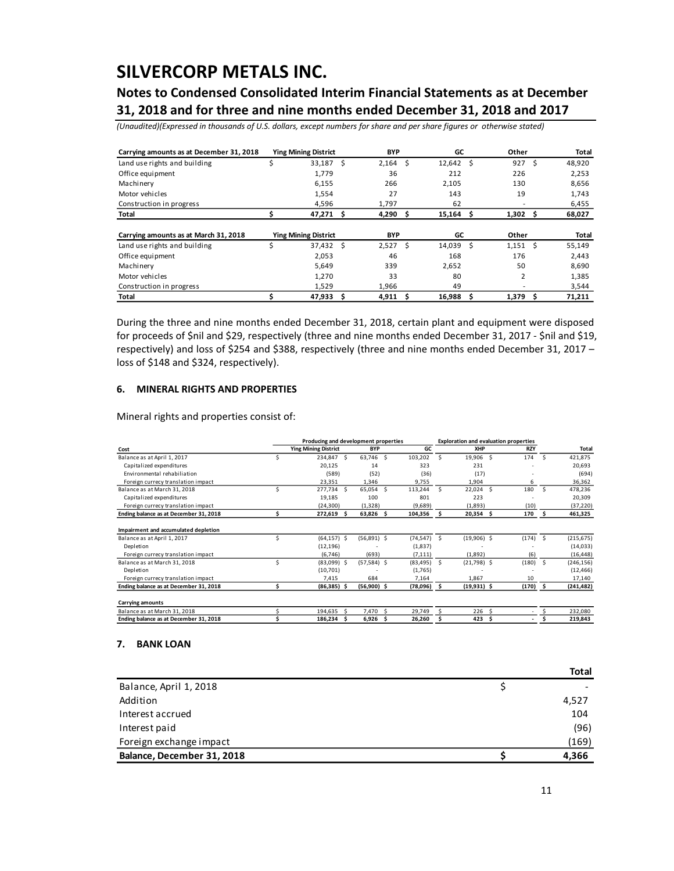## **Notes to Condensed Consolidated Interim Financial Statements as at December 31, 2018 and for three and nine months ended December 31, 2018 and 2017**

*(Unaudited)(Expressed in thousands of U.S. dollars, except numbers for share and per share figures or otherwise stated)*

| Carrying amounts as at December 31, 2018 |   | <b>Ying Mining District</b> |    | <b>BYP</b> |   | GC        |     | Other          |    | Total  |
|------------------------------------------|---|-----------------------------|----|------------|---|-----------|-----|----------------|----|--------|
| Land use rights and building             | Ś | 33,187                      | Ŝ  | 2,164      | Ŝ | 12,642    | - Ś | 927            | Ŝ. | 48,920 |
| Office equipment                         |   | 1,779                       |    | 36         |   | 212       |     | 226            |    | 2,253  |
| Machinery                                |   | 6,155                       |    | 266        |   | 2,105     |     | 130            |    | 8,656  |
| Motor vehicles                           |   | 1,554                       |    | 27         |   | 143       |     | 19             |    | 1,743  |
| Construction in progress                 |   | 4,596                       |    | 1,797      |   | 62        |     |                |    | 6,455  |
| Total                                    |   | 47,271                      | \$ | 4,290      | s | 15,164    | \$  | 1,302          | S  | 68,027 |
| Carrying amounts as at March 31, 2018    |   | <b>Ying Mining District</b> |    | <b>BYP</b> |   | GC        |     | Other          |    | Total  |
| Land use rights and building             | Ś | 37,432 \$                   |    | $2,527$ \$ |   | 14,039 \$ |     | $1,151$ \$     |    | 55,149 |
| Office equipment                         |   | 2,053                       |    | 46         |   | 168       |     | 176            |    | 2,443  |
| Machinery                                |   | 5,649                       |    | 339        |   | 2,652     |     | 50             |    | 8,690  |
| Motor vehicles                           |   | 1,270                       |    | 33         |   | 80        |     | $\overline{2}$ |    | 1,385  |
| Construction in progress                 |   | 1,529                       |    | 1,966      |   | 49        |     |                |    | 3,544  |
|                                          |   |                             |    |            |   |           |     |                |    |        |

#### **6. MINERAL RIGHTS AND PROPERTIES**

| Carrying amounts as at December 31, 2018                                                                                                                                                                                                                                                                                         |          | <b>Ying Mining District</b>     | BYP                                  |                     | GC           |                  | Other                                        |                    | Total                  |
|----------------------------------------------------------------------------------------------------------------------------------------------------------------------------------------------------------------------------------------------------------------------------------------------------------------------------------|----------|---------------------------------|--------------------------------------|---------------------|--------------|------------------|----------------------------------------------|--------------------|------------------------|
| Land use rights and building                                                                                                                                                                                                                                                                                                     | \$       | 33,187<br>-S                    | 2,164                                | \$                  | 12,642       | -\$              | 927                                          | \$.                | 48,920                 |
| Office equipment                                                                                                                                                                                                                                                                                                                 |          | 1,779                           | 36                                   |                     | 212          |                  | 226                                          |                    | 2,253                  |
| Machinery                                                                                                                                                                                                                                                                                                                        |          | 6,155                           | 266                                  |                     | 2,105        |                  | 130                                          |                    | 8,656                  |
| Motor vehicles                                                                                                                                                                                                                                                                                                                   |          | 1,554                           | 27                                   |                     | 143          |                  | 19                                           |                    | 1,743                  |
| Construction in progress                                                                                                                                                                                                                                                                                                         |          | 4,596                           | 1,797                                |                     | 62           |                  |                                              |                    | 6,455                  |
| Total                                                                                                                                                                                                                                                                                                                            | \$       | \$<br>47,271                    | 4,290                                | \$                  | 15,164       | \$               | 1,302                                        | $\pmb{\mathsf{s}}$ | 68,027                 |
| Carrying amounts as at March 31, 2018                                                                                                                                                                                                                                                                                            |          | <b>Ying Mining District</b>     | <b>BYP</b>                           |                     | GC           |                  | Other                                        |                    | Total                  |
| Land use rights and building                                                                                                                                                                                                                                                                                                     | \$       | 37,432<br>\$.                   | 2,527                                | \$                  | 14,039       | \$               | 1,151                                        | \$                 | 55,149                 |
| Office equipment                                                                                                                                                                                                                                                                                                                 |          | 2,053                           | 46                                   |                     | 168          |                  | 176                                          |                    | 2,443                  |
| Machinery                                                                                                                                                                                                                                                                                                                        |          | 5,649                           | 339                                  |                     | 2,652        |                  | 50                                           |                    | 8,690                  |
| Motor vehicles                                                                                                                                                                                                                                                                                                                   |          | 1,270                           | 33                                   |                     | 80           |                  | 2                                            |                    | 1,385                  |
| Construction in progress<br>Total                                                                                                                                                                                                                                                                                                | \$       | 1,529<br>47,933<br>\$           | 1,966<br>4,911                       | \$                  | 49<br>16,988 | \$               | 1,379                                        | \$                 | 3,544<br>71,211        |
| During the three and nine months ended December 31, 2018, certain plant and equipment were disposed<br>for proceeds of \$nil and \$29, respectively (three and nine months ended December 31, 2017 - \$nil and \$19,<br>respectively) and loss of \$254 and \$388, respectively (three and nine months ended December 31, 2017 - |          |                                 |                                      |                     |              |                  |                                              |                    |                        |
| <b>MINERAL RIGHTS AND PROPERTIES</b><br>6.<br>Mineral rights and properties consist of:                                                                                                                                                                                                                                          |          |                                 |                                      |                     |              |                  |                                              |                    |                        |
|                                                                                                                                                                                                                                                                                                                                  |          |                                 | Producing and development properties |                     |              |                  | <b>Exploration and evaluation properties</b> |                    |                        |
| Cost                                                                                                                                                                                                                                                                                                                             |          | <b>Ying Mining District</b>     | <b>BYP</b>                           | GC                  |              | XHP              |                                              | <b>RZY</b>         | Total                  |
| Balance as at April 1, 2017                                                                                                                                                                                                                                                                                                      | \$       | 234,847 \$                      | 63,746<br>-S                         | 103,202             | \$           | 19.906           | - \$<br>174                                  | -\$                | 421.875                |
| Capitalized expenditures<br>Environmental rehabiliation                                                                                                                                                                                                                                                                          |          | 20,125<br>(589)                 | 14<br>(52)                           | 323<br>(36)         |              | 231<br>(17)      |                                              | $\overline{a}$     | 20,693<br>(694)        |
| Foreign currecy translation impact                                                                                                                                                                                                                                                                                               |          | 23,351                          | 1,346                                | 9,755               |              | 1,904            |                                              | 6                  | 36,362                 |
| Balance as at March 31, 2018<br>Capitalized expenditures                                                                                                                                                                                                                                                                         | \$       | 277,734<br>-\$<br>19,185        | 65,054<br>\$<br>100                  | 113,244<br>801      | \$           | 22,024 \$<br>223 | 180                                          | $\zeta$            | 478,236<br>20,309      |
| Foreign currecy translation impact                                                                                                                                                                                                                                                                                               |          | (24, 300)                       | (1, 328)                             | (9,689)             |              | (1,893)          |                                              | (10)               | (37, 220)              |
| Ending balance as at December 31, 2018                                                                                                                                                                                                                                                                                           | \$       | 272,619                         | 63,826                               | 104,356             | Ś            | 20,354           | 170<br>\$                                    | .\$                | 461,325                |
| Impairment and accumulated depletion                                                                                                                                                                                                                                                                                             |          |                                 |                                      |                     |              |                  |                                              |                    |                        |
| Balance as at April 1, 2017                                                                                                                                                                                                                                                                                                      | \$       | $(64, 157)$ \$                  | $(56,891)$ \$                        | (74, 547)           | -\$          | $(19,906)$ \$    |                                              | $(174)$ \$         | (215, 675)             |
| Depletion<br>Foreign currecy translation impact                                                                                                                                                                                                                                                                                  |          | (12, 196)<br>(6, 746)           | (693)                                | (1,837)<br>(7, 111) |              | (1,892)          |                                              | (6)                | (14, 033)<br>(16, 448) |
| Balance as at March 31, 2018                                                                                                                                                                                                                                                                                                     | \$       | $(83,099)$ \$                   | $(57,584)$ \$                        | $(83, 495)$ \$      |              | $(21,798)$ \$    | (180)                                        | $\mathsf{\hat{S}}$ | (246, 156)             |
| Depletion<br>Foreign currecy translation impact                                                                                                                                                                                                                                                                                  |          | (10, 701)<br>7,415              | 684                                  | (1,765)<br>7,164    |              | 1,867            |                                              | 10                 | (12, 466)<br>17,140    |
| Ending balance as at December 31, 2018                                                                                                                                                                                                                                                                                           | \$       | (86, 385)                       | (56,900)<br>Ŝ                        | (78,096)            | \$           | (19,931)         | (170)<br>\$                                  | Ś.                 | (241, 482)             |
| <b>Carrying amounts</b>                                                                                                                                                                                                                                                                                                          |          |                                 |                                      |                     |              |                  |                                              |                    |                        |
| Balance as at March 31, 2018<br>Ending balance as at December 31, 2018                                                                                                                                                                                                                                                           | \$<br>\$ | 194,635<br>-\$<br>186,234<br>\$ | 7,470<br>\$<br>\$<br>6,926           | 29,749<br>26,260    | \$<br>\$     | 226<br>423       | \$.<br>\$                                    | \$<br>Ś            | 232,080<br>219,843     |
| <b>BANK LOAN</b>                                                                                                                                                                                                                                                                                                                 |          |                                 |                                      |                     |              |                  |                                              |                    |                        |
| Balance, April 1, 2018                                                                                                                                                                                                                                                                                                           |          |                                 |                                      |                     |              |                  | \$                                           |                    | Total                  |
|                                                                                                                                                                                                                                                                                                                                  |          |                                 |                                      |                     |              |                  |                                              |                    |                        |
| Addition                                                                                                                                                                                                                                                                                                                         |          |                                 |                                      |                     |              |                  |                                              |                    | 4,527                  |
| Interest accrued                                                                                                                                                                                                                                                                                                                 |          |                                 |                                      |                     |              |                  |                                              |                    | 104                    |
| Interest paid                                                                                                                                                                                                                                                                                                                    |          |                                 |                                      |                     |              |                  |                                              |                    | (96)                   |
| Foreign exchange impact                                                                                                                                                                                                                                                                                                          |          |                                 |                                      |                     |              |                  |                                              |                    | (169)                  |
| Balance, December 31, 2018                                                                                                                                                                                                                                                                                                       |          |                                 |                                      |                     |              |                  | \$                                           |                    | 4,366                  |
|                                                                                                                                                                                                                                                                                                                                  |          |                                 |                                      |                     |              |                  |                                              | 11                 |                        |

#### **7. BANK LOAN**

|                            | Total |
|----------------------------|-------|
| Balance, April 1, 2018     |       |
| Addition                   | 4,527 |
| Interest accrued           | 104   |
| Interest paid              | (96)  |
| Foreign exchange impact    | (169) |
| Balance, December 31, 2018 | 4,366 |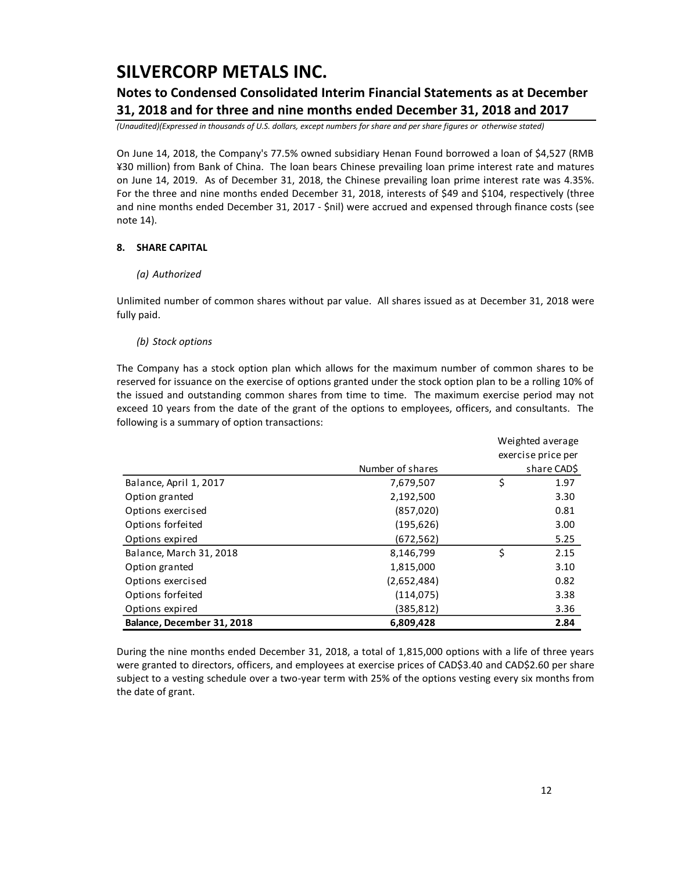### **Notes to Condensed Consolidated Interim Financial Statements as at December 31, 2018 and for three and nine months ended December 31, 2018 and 2017**

*(Unaudited)(Expressed in thousands of U.S. dollars, except numbers for share and per share figures or otherwise stated)*

On June 14, 2018, the Company's 77.5% owned subsidiary Henan Found borrowed a loan of \$4,527 (RMB ¥30 million) from Bank of China. The loan bears Chinese prevailing loan prime interest rate and matures on June 14, 2019. As of December 31, 2018, the Chinese prevailing loan prime interest rate was 4.35%. For the three and nine months ended December 31, 2018, interests of \$49 and \$104, respectively (three and nine months ended December 31, 2017 - \$nil) were accrued and expensed through finance costs (see note 14).

### **8. SHARE CAPITAL**

### *(a) Authorized*

Unlimited number of common shares without par value. All shares issued as at December 31, 2018 were fully paid.

### *(b) Stock options*

The Company has a stock option plan which allows for the maximum number of common shares to be reserved for issuance on the exercise of options granted under the stock option plan to be a rolling 10% of the issued and outstanding common shares from time to time. The maximum exercise period may not exceed 10 years from the date of the grant of the options to employees, officers, and consultants. The following is a summary of option transactions:

|                            |                  | Weighted average |                    |
|----------------------------|------------------|------------------|--------------------|
|                            |                  |                  | exercise price per |
|                            | Number of shares |                  | share CAD\$        |
| Balance, April 1, 2017     | 7,679,507        | \$               | 1.97               |
| Option granted             | 2,192,500        |                  | 3.30               |
| Options exercised          | (857, 020)       |                  | 0.81               |
| Options forfeited          | (195, 626)       |                  | 3.00               |
| Options expired            | (672,562)        |                  | 5.25               |
| Balance, March 31, 2018    | 8,146,799        | \$               | 2.15               |
| Option granted             | 1,815,000        |                  | 3.10               |
| Options exercised          | (2,652,484)      |                  | 0.82               |
| Options forfeited          | (114, 075)       |                  | 3.38               |
| Options expired            | (385,812)        |                  | 3.36               |
| Balance, December 31, 2018 | 6,809,428        |                  | 2.84               |

During the nine months ended December 31, 2018, a total of 1,815,000 options with a life of three years were granted to directors, officers, and employees at exercise prices of CAD\$3.40 and CAD\$2.60 per share subject to a vesting schedule over a two-year term with 25% of the options vesting every six months from the date of grant.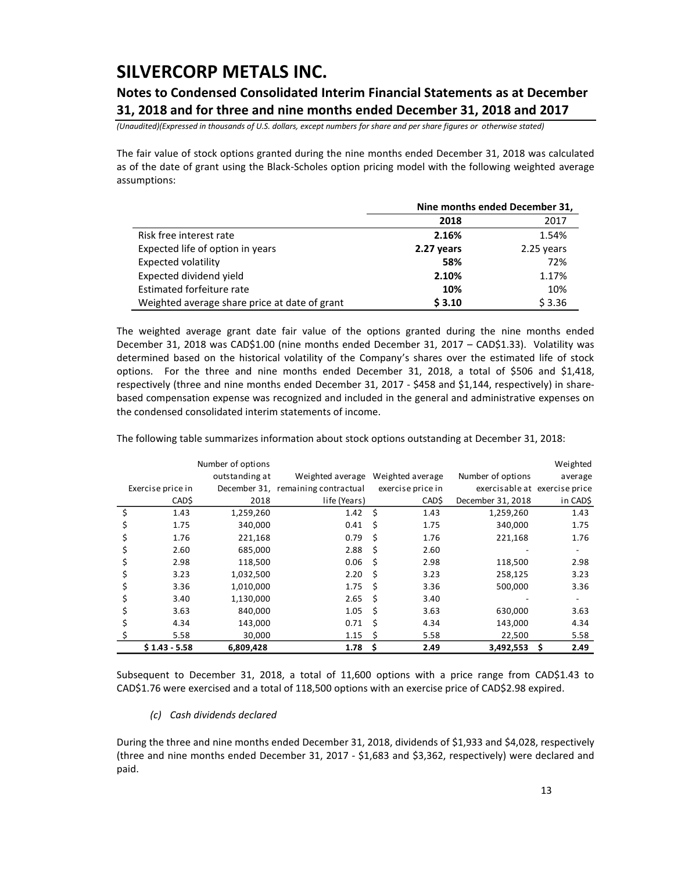### **Notes to Condensed Consolidated Interim Financial Statements as at December 31, 2018 and for three and nine months ended December 31, 2018 and 2017**

*(Unaudited)(Expressed in thousands of U.S. dollars, except numbers for share and per share figures or otherwise stated)*

The fair value of stock options granted during the nine months ended December 31, 2018 was calculated as of the date of grant using the Black-Scholes option pricing model with the following weighted average assumptions:

|                                               | Nine months ended December 31, |            |  |  |  |
|-----------------------------------------------|--------------------------------|------------|--|--|--|
|                                               | 2018                           | 2017       |  |  |  |
| Risk free interest rate                       | 2.16%                          | 1.54%      |  |  |  |
| Expected life of option in years              | 2.27 years                     | 2.25 years |  |  |  |
| Expected volatility                           | 58%                            | 72%        |  |  |  |
| Expected dividend yield                       | 2.10%                          | 1.17%      |  |  |  |
| Estimated forfeiture rate                     | 10%                            | 10%        |  |  |  |
| Weighted average share price at date of grant | \$3.10                         | \$3.36     |  |  |  |

The weighted average grant date fair value of the options granted during the nine months ended December 31, 2018 was CAD\$1.00 (nine months ended December 31, 2017 – CAD\$1.33). Volatility was determined based on the historical volatility of the Company's shares over the estimated life of stock options. For the three and nine months ended December 31, 2018, a total of \$506 and \$1,418, respectively (three and nine months ended December 31, 2017 - \$458 and \$1,144, respectively) in sharebased compensation expense was recognized and included in the general and administrative expenses on the condensed consolidated interim statements of income.

|                   | Number of options |                                    |         |                   |                               | Weighted   |
|-------------------|-------------------|------------------------------------|---------|-------------------|-------------------------------|------------|
|                   | outstanding at    | Weighted average                   |         | Weighted average  | Number of options             | average    |
| Exercise price in |                   | December 31, remaining contractual |         | exercise price in | exercisable at exercise price |            |
| CAD\$             | 2018              | life (Years)                       |         | CAD\$             | December 31, 2018             | in CAD\$   |
| 1.43              | 1,259,260         | 1.42                               | $\zeta$ | 1.43              | 1,259,260                     | 1.43       |
| 1.75              | 340,000           | 0.41                               | Ś       | 1.75              | 340,000                       | 1.75       |
| 1.76              | 221,168           | 0.79                               | Ś       | 1.76              | 221,168                       | 1.76       |
| 2.60              | 685,000           | 2.88                               | \$      | 2.60              |                               |            |
| 2.98              | 118,500           | 0.06                               | Ś       | 2.98              | 118,500                       | 2.98       |
| 3.23              | 1,032,500         | 2.20                               | Ś       | 3.23              | 258,125                       | 3.23       |
| 3.36              | 1,010,000         | 1.75                               | Ś       | 3.36              | 500,000                       | 3.36       |
| 3.40              | 1,130,000         | 2.65                               | Ś       | 3.40              |                               |            |
| 3.63              | 840,000           | 1.05                               | Ś       | 3.63              | 630,000                       | 3.63       |
| 4.34              | 143,000           | 0.71                               | Ś       | 4.34              | 143,000                       | 4.34       |
| 5.58              | 30,000            | 1.15                               | Ś       | 5.58              | 22,500                        | 5.58       |
| $$1.43 - 5.58$    | 6,809,428         | 1.78                               | \$      | 2.49              | 3,492,553                     | \$<br>2.49 |

The following table summarizes information about stock options outstanding at December 31, 2018:

Subsequent to December 31, 2018, a total of 11,600 options with a price range from CAD\$1.43 to CAD\$1.76 were exercised and a total of 118,500 options with an exercise price of CAD\$2.98 expired.

### *(c) Cash dividends declared*

During the three and nine months ended December 31, 2018, dividends of \$1,933 and \$4,028, respectively (three and nine months ended December 31, 2017 - \$1,683 and \$3,362, respectively) were declared and paid.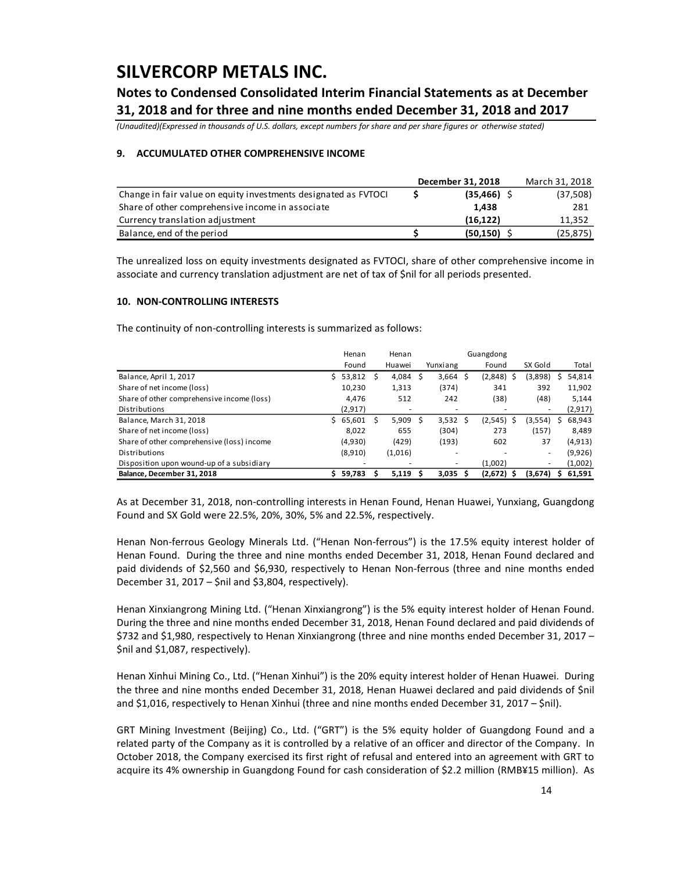## **Notes to Condensed Consolidated Interim Financial Statements as at December 31, 2018 and for three and nine months ended December 31, 2018 and 2017**

*(Unaudited)(Expressed in thousands of U.S. dollars, except numbers for share and per share figures or otherwise stated)*

### **9. ACCUMULATED OTHER COMPREHENSIVE INCOME**

|                                                                 | December 31, 2018 | March 31, 2018 |
|-----------------------------------------------------------------|-------------------|----------------|
| Change in fair value on equity investments designated as FVTOCI | $(35,466)$ \$     | (37,508)       |
| Share of other comprehensive income in associate                | 1.438             | 281            |
| Currency translation adjustment                                 | (16.122)          | 11,352         |
| Balance, end of the period                                      | (50, 150)         | (25, 875)      |

The unrealized loss on equity investments designated as FVTOCI, share of other comprehensive income in associate and currency translation adjustment are net of tax of \$nil for all periods presented.

### **10. NON-CONTROLLING INTERESTS**

The continuity of non-controlling interests is summarized as follows:

|                                            |    | Henan   |   | Henan   | Guangdong |                          |  |              |   |                          |   |          |
|--------------------------------------------|----|---------|---|---------|-----------|--------------------------|--|--------------|---|--------------------------|---|----------|
|                                            |    | Found   |   | Huawei  |           | Yunxiang                 |  | Found        |   | SX Gold                  |   | Total    |
| Balance, April 1, 2017                     | S. | 53,812  | S | 4,084   | S.        | $3,664$ \$               |  | (2,848)      | S | (3,898)                  |   | 54,814   |
| Share of net income (loss)                 |    | 10,230  |   | 1,313   |           | (374)                    |  | 341          |   | 392                      |   | 11,902   |
| Share of other comprehensive income (loss) |    | 4,476   |   | 512     |           | 242                      |  | (38)         |   | (48)                     |   | 5,144    |
| Distributions                              |    | (2,917) |   | ٠       |           | ٠                        |  |              |   | $\overline{\phantom{a}}$ |   | (2, 917) |
| Balance, March 31, 2018                    | S. | 65,601  |   | 5,909   | -S        | $3,532 \quad $$          |  | (2, 545)     | Ŝ | (3,554)                  |   | 68,943   |
| Share of net income (loss)                 |    | 8.022   |   | 655     |           | (304)                    |  | 273          |   | (157)                    |   | 8,489    |
| Share of other comprehensive (loss) income |    | (4,930) |   | (429)   |           | (193)                    |  | 602          |   | 37                       |   | (4, 913) |
| Distributions                              |    | (8,910) |   | (1,016) |           | $\overline{\phantom{a}}$ |  |              |   | ٠                        |   | (9,926)  |
| Disposition upon wound-up of a subsidiary  |    |         |   |         |           | ٠                        |  | (1,002)      |   | ۰                        |   | (1,002)  |
| Balance, December 31, 2018                 |    | 59,783  |   | 5,119   |           | $3,035$ \$               |  | $(2,672)$ \$ |   | (3,674)                  | s | 61,591   |

As at December 31, 2018, non-controlling interests in Henan Found, Henan Huawei, Yunxiang, Guangdong Found and SX Gold were 22.5%, 20%, 30%, 5% and 22.5%, respectively.

Henan Non-ferrous Geology Minerals Ltd. ("Henan Non-ferrous") is the 17.5% equity interest holder of Henan Found. During the three and nine months ended December 31, 2018, Henan Found declared and paid dividends of \$2,560 and \$6,930, respectively to Henan Non-ferrous (three and nine months ended December 31, 2017 – \$nil and \$3,804, respectively).

Henan Xinxiangrong Mining Ltd. ("Henan Xinxiangrong") is the 5% equity interest holder of Henan Found. During the three and nine months ended December 31, 2018, Henan Found declared and paid dividends of \$732 and \$1,980, respectively to Henan Xinxiangrong (three and nine months ended December 31, 2017 – \$nil and \$1,087, respectively).

Henan Xinhui Mining Co., Ltd. ("Henan Xinhui") is the 20% equity interest holder of Henan Huawei. During the three and nine months ended December 31, 2018, Henan Huawei declared and paid dividends of \$nil and \$1,016, respectively to Henan Xinhui (three and nine months ended December 31, 2017 – \$nil).

GRT Mining Investment (Beijing) Co., Ltd. ("GRT") is the 5% equity holder of Guangdong Found and a related party of the Company as it is controlled by a relative of an officer and director of the Company. In October 2018, the Company exercised its first right of refusal and entered into an agreement with GRT to acquire its 4% ownership in Guangdong Found for cash consideration of \$2.2 million (RMB¥15 million). As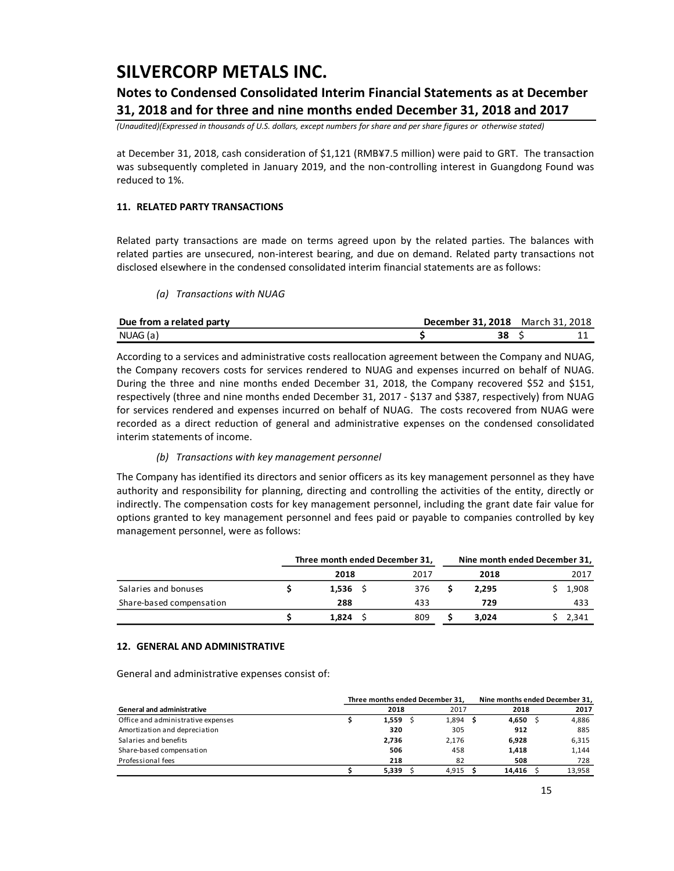### **Notes to Condensed Consolidated Interim Financial Statements as at December 31, 2018 and for three and nine months ended December 31, 2018 and 2017**

*(Unaudited)(Expressed in thousands of U.S. dollars, except numbers for share and per share figures or otherwise stated)*

at December 31, 2018, cash consideration of \$1,121 (RMB¥7.5 million) were paid to GRT. The transaction was subsequently completed in January 2019, and the non-controlling interest in Guangdong Found was reduced to 1%.

### **11. RELATED PARTY TRANSACTIONS**

Related party transactions are made on terms agreed upon by the related parties. The balances with related parties are unsecured, non-interest bearing, and due on demand. Related party transactions not disclosed elsewhere in the condensed consolidated interim financial statements are as follows:

*(a) Transactions with NUAG*

| Due from a related party | <b>December 31, 2018</b> March 31, 2018 |  |  |
|--------------------------|-----------------------------------------|--|--|
| NUAG (a)                 |                                         |  |  |

According to a services and administrative costs reallocation agreement between the Company and NUAG, the Company recovers costs for services rendered to NUAG and expenses incurred on behalf of NUAG. During the three and nine months ended December 31, 2018, the Company recovered \$52 and \$151, respectively (three and nine months ended December 31, 2017 - \$137 and \$387, respectively) from NUAG for services rendered and expenses incurred on behalf of NUAG. The costs recovered from NUAG were recorded as a direct reduction of general and administrative expenses on the condensed consolidated interim statements of income.

#### *(b) Transactions with key management personnel*

The Company has identified its directors and senior officers as its key management personnel as they have authority and responsibility for planning, directing and controlling the activities of the entity, directly or indirectly. The compensation costs for key management personnel, including the grant date fair value for options granted to key management personnel and fees paid or payable to companies controlled by key management personnel, were as follows:

|                          |            | Three month ended December 31, | Nine month ended December 31, |       |
|--------------------------|------------|--------------------------------|-------------------------------|-------|
|                          | 2018       | 2017                           | 2018                          | 2017  |
| Salaries and bonuses     | $1,536$ \$ | 376                            | 2.295                         | 1,908 |
| Share-based compensation | 288        | 433                            | 729                           | 433   |
|                          | 1,824      | 809                            | 3.024                         | 2,341 |

#### **12. GENERAL AND ADMINISTRATIVE**

General and administrative expenses consist of:

|                                    | Three months ended December 31, | Nine months ended December 31, |  |          |        |
|------------------------------------|---------------------------------|--------------------------------|--|----------|--------|
| <b>General and administrative</b>  | 2018                            | 2017                           |  | 2018     | 2017   |
| Office and administrative expenses | 1.559                           | $1,894$ \$                     |  | 4,650 \$ | 4.886  |
| Amortization and depreciation      | 320                             | 305                            |  | 912      | 885    |
| Salaries and benefits              | 2,736                           | 2.176                          |  | 6,928    | 6,315  |
| Share-based compensation           | 506                             | 458                            |  | 1.418    | 1,144  |
| Professional fees                  | 218                             | 82                             |  | 508      | 728    |
|                                    | 5.339                           | 4.915                          |  | 14.416   | 13.958 |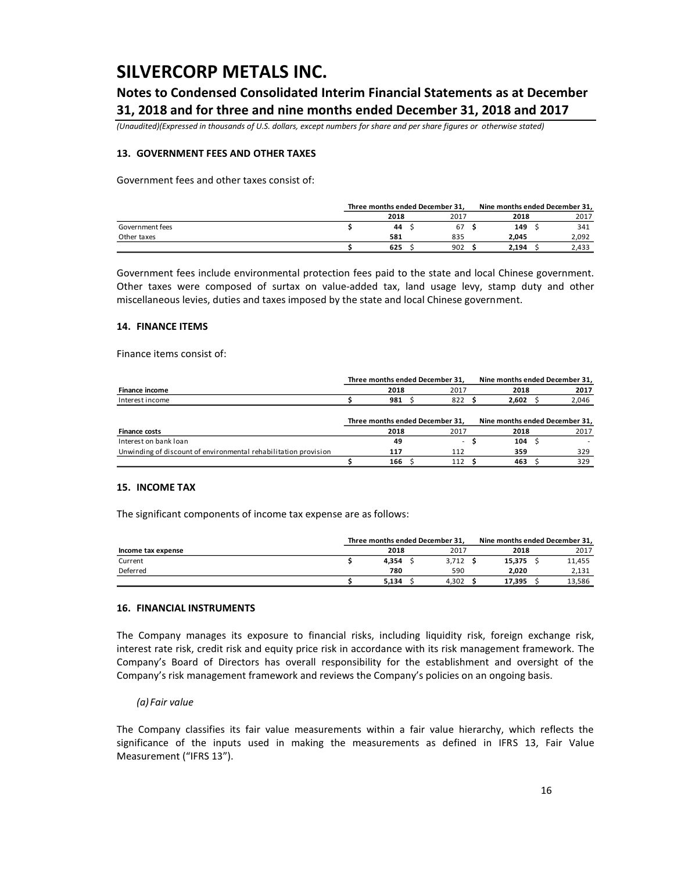### **Notes to Condensed Consolidated Interim Financial Statements as at December 31, 2018 and for three and nine months ended December 31, 2018 and 2017**

*(Unaudited)(Expressed in thousands of U.S. dollars, except numbers for share and per share figures or otherwise stated)*

### **13. GOVERNMENT FEES AND OTHER TAXES**

Government fees and other taxes consist of:

|                 |      | Three months ended December 31, |      |  |       | Nine months ended December 31, |  |  |  |
|-----------------|------|---------------------------------|------|--|-------|--------------------------------|--|--|--|
|                 | 2018 |                                 | 2017 |  | 2018  | 2017                           |  |  |  |
| Government fees |      | 44                              | 67   |  | 149   | 341                            |  |  |  |
| Other taxes     | 581  |                                 | 835  |  | 2.045 | 2,092                          |  |  |  |
|                 |      | 625                             | 902  |  | 2.194 | 2.433                          |  |  |  |

Government fees include environmental protection fees paid to the state and local Chinese government. Other taxes were composed of surtax on value-added tax, land usage levy, stamp duty and other miscellaneous levies, duties and taxes imposed by the state and local Chinese government.

#### **14. FINANCE ITEMS**

Finance items consist of:

|                                                                 | Three months ended December 31. |      |  |                                 |  |                                | Nine months ended December 31, |       |  |  |  |
|-----------------------------------------------------------------|---------------------------------|------|--|---------------------------------|--|--------------------------------|--------------------------------|-------|--|--|--|
| Finance income                                                  |                                 | 2018 |  | 2017                            |  | 2018                           |                                | 2017  |  |  |  |
| Interest income                                                 |                                 | 981  |  | 822                             |  | 2.602                          |                                | 2,046 |  |  |  |
|                                                                 |                                 |      |  |                                 |  |                                |                                |       |  |  |  |
|                                                                 |                                 |      |  | Three months ended December 31, |  | Nine months ended December 31, |                                |       |  |  |  |
| <b>Finance costs</b>                                            |                                 | 2018 |  | 2017                            |  | 2018                           |                                | 2017  |  |  |  |
| Interest on bank loan                                           |                                 | 49   |  | $\sim$                          |  | 104                            |                                |       |  |  |  |
| Unwinding of discount of environmental rehabilitation provision |                                 | 117  |  | 112                             |  | 359                            |                                | 329   |  |  |  |
|                                                                 |                                 | 166  |  | 112                             |  | 463                            |                                | 329   |  |  |  |

### **15. INCOME TAX**

The significant components of income tax expense are as follows:

|                    | Three months ended December 31, |       | Nine months ended December 31. |        |
|--------------------|---------------------------------|-------|--------------------------------|--------|
| Income tax expense | 2018                            | 2017  | 2018                           | 2017   |
| Current            | 4.354                           | 3.712 | 15.375                         | 11,455 |
| Deferred           | 780                             | 590   | 2.020                          | 2,131  |
|                    | 5.134                           | 4.302 | 17.395                         | 13,586 |

#### **16. FINANCIAL INSTRUMENTS**

The Company manages its exposure to financial risks, including liquidity risk, foreign exchange risk, interest rate risk, credit risk and equity price risk in accordance with its risk management framework. The Company's Board of Directors has overall responsibility for the establishment and oversight of the Company's risk management framework and reviews the Company's policies on an ongoing basis.

#### *(a) Fair value*

The Company classifies its fair value measurements within a fair value hierarchy, which reflects the significance of the inputs used in making the measurements as defined in IFRS 13, Fair Value Measurement ("IFRS 13").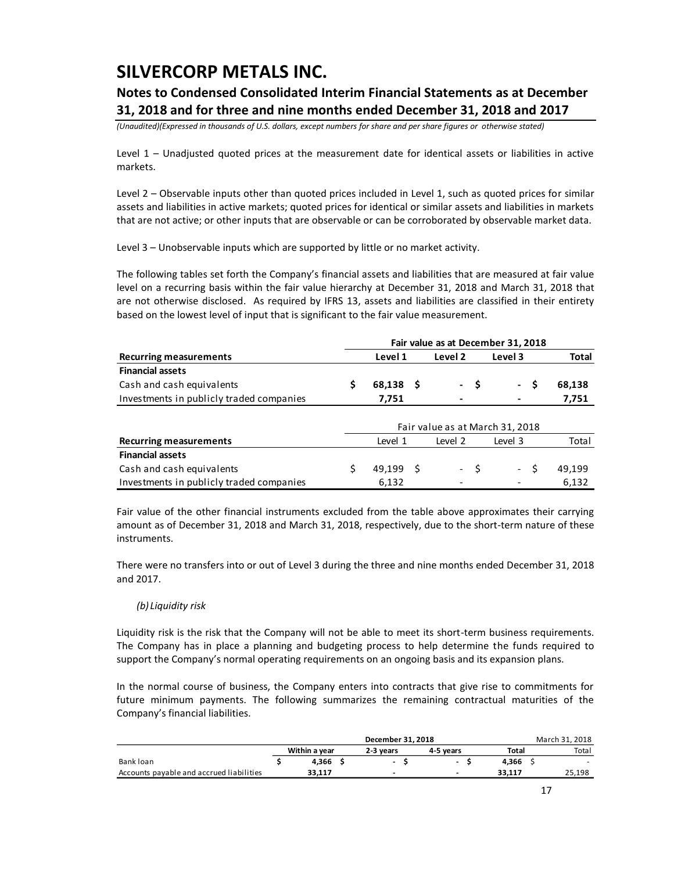## **Notes to Condensed Consolidated Interim Financial Statements as at December 31, 2018 and for three and nine months ended December 31, 2018 and 2017**

*(Unaudited)(Expressed in thousands of U.S. dollars, except numbers for share and per share figures or otherwise stated)*

Level 1 – Unadjusted quoted prices at the measurement date for identical assets or liabilities in active markets.

Level 2 – Observable inputs other than quoted prices included in Level 1, such as quoted prices for similar assets and liabilities in active markets; quoted prices for identical or similar assets and liabilities in markets that are not active; or other inputs that are observable or can be corroborated by observable market data.

Level 3 – Unobservable inputs which are supported by little or no market activity.

The following tables set forth the Company's financial assets and liabilities that are measured at fair value level on a recurring basis within the fair value hierarchy at December 31, 2018 and March 31, 2018 that are not otherwise disclosed. As required by IFRS 13, assets and liabilities are classified in their entirety based on the lowest level of input that is significant to the fair value measurement.

|                                          |           |         |      | Fair value as at December 31, 2018 |              |
|------------------------------------------|-----------|---------|------|------------------------------------|--------------|
| <b>Recurring measurements</b>            | Level 1   | Level 2 |      | Level 3                            | <b>Total</b> |
| <b>Financial assets</b>                  |           |         |      |                                    |              |
| Cash and cash equivalents                | 68,138 \$ |         | - \$ | S<br>$\sim$ $-$                    | 68,138       |
| Investments in publicly traded companies | 7,751     |         |      |                                    | 7,751        |
|                                          |           |         |      |                                    |              |
|                                          |           |         |      | Fair value as at March 31, 2018    |              |
| <b>Recurring measurements</b>            | Level 1   | Level 2 |      | Level 3                            | Total        |
| <b>Financial assets</b>                  |           |         |      |                                    |              |
| Cash and cash equivalents                | 49.199    |         |      | - S                                | 49.199       |

Fair value of the other financial instruments excluded from the table above approximates their carrying amount as of December 31, 2018 and March 31, 2018, respectively, due to the short-term nature of these instruments.

Investments in publicly traded companies 6,132 - - 6,132

There were no transfers into or out of Level 3 during the three and nine months ended December 31, 2018 and 2017.

### *(b) Liquidity risk*

Liquidity risk is the risk that the Company will not be able to meet its short-term business requirements. The Company has in place a planning and budgeting process to help determine the funds required to support the Company's normal operating requirements on an ongoing basis and its expansion plans.

In the normal course of business, the Company enters into contracts that give rise to commitments for future minimum payments. The following summarizes the remaining contractual maturities of the Company's financial liabilities.

|                                          |               |                          | March 31, 2018 |        |  |        |
|------------------------------------------|---------------|--------------------------|----------------|--------|--|--------|
|                                          | Within a vear | 2-3 vears                | 4-5 vears      | Total  |  | Total  |
| Bank loan                                | 4.366         | $\overline{\phantom{a}}$ | $\sim$         | 4.366  |  |        |
| Accounts payable and accrued liabilities | 33.117        | $\overline{\phantom{a}}$ | -              | 33.117 |  | 25,198 |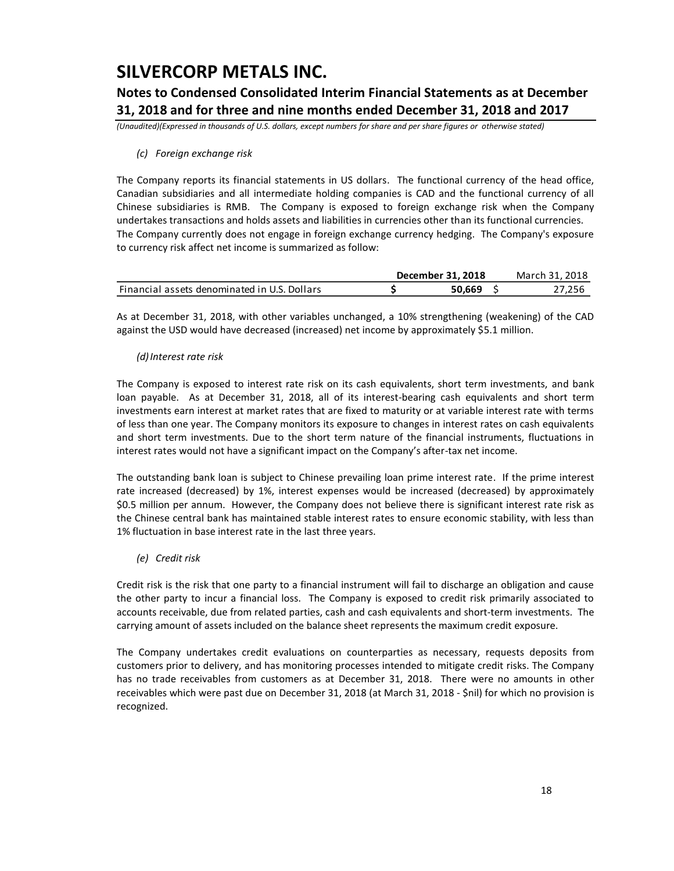## **Notes to Condensed Consolidated Interim Financial Statements as at December 31, 2018 and for three and nine months ended December 31, 2018 and 2017**

*(Unaudited)(Expressed in thousands of U.S. dollars, except numbers for share and per share figures or otherwise stated)*

### *(c) Foreign exchange risk*

The Company reports its financial statements in US dollars. The functional currency of the head office, Canadian subsidiaries and all intermediate holding companies is CAD and the functional currency of all Chinese subsidiaries is RMB. The Company is exposed to foreign exchange risk when the Company undertakes transactions and holds assets and liabilities in currencies other than its functional currencies. The Company currently does not engage in foreign exchange currency hedging. The Company's exposure to currency risk affect net income is summarized as follow:

|                                              | December 31, 2018 | March 31, 2018 |
|----------------------------------------------|-------------------|----------------|
| Financial assets denominated in U.S. Dollars | 50.669            | 27.256         |

As at December 31, 2018, with other variables unchanged, a 10% strengthening (weakening) of the CAD against the USD would have decreased (increased) net income by approximately \$5.1 million.

### *(d)Interest rate risk*

The Company is exposed to interest rate risk on its cash equivalents, short term investments, and bank loan payable. As at December 31, 2018, all of its interest-bearing cash equivalents and short term investments earn interest at market rates that are fixed to maturity or at variable interest rate with terms of less than one year. The Company monitors its exposure to changes in interest rates on cash equivalents and short term investments. Due to the short term nature of the financial instruments, fluctuations in interest rates would not have a significant impact on the Company's after-tax net income.

The outstanding bank loan is subject to Chinese prevailing loan prime interest rate. If the prime interest rate increased (decreased) by 1%, interest expenses would be increased (decreased) by approximately \$0.5 million per annum. However, the Company does not believe there is significant interest rate risk as the Chinese central bank has maintained stable interest rates to ensure economic stability, with less than 1% fluctuation in base interest rate in the last three years.

### *(e) Credit risk*

Credit risk is the risk that one party to a financial instrument will fail to discharge an obligation and cause the other party to incur a financial loss. The Company is exposed to credit risk primarily associated to accounts receivable, due from related parties, cash and cash equivalents and short-term investments. The carrying amount of assets included on the balance sheet represents the maximum credit exposure.

The Company undertakes credit evaluations on counterparties as necessary, requests deposits from customers prior to delivery, and has monitoring processes intended to mitigate credit risks. The Company has no trade receivables from customers as at December 31, 2018. There were no amounts in other receivables which were past due on December 31, 2018 (at March 31, 2018 - \$nil) for which no provision is recognized.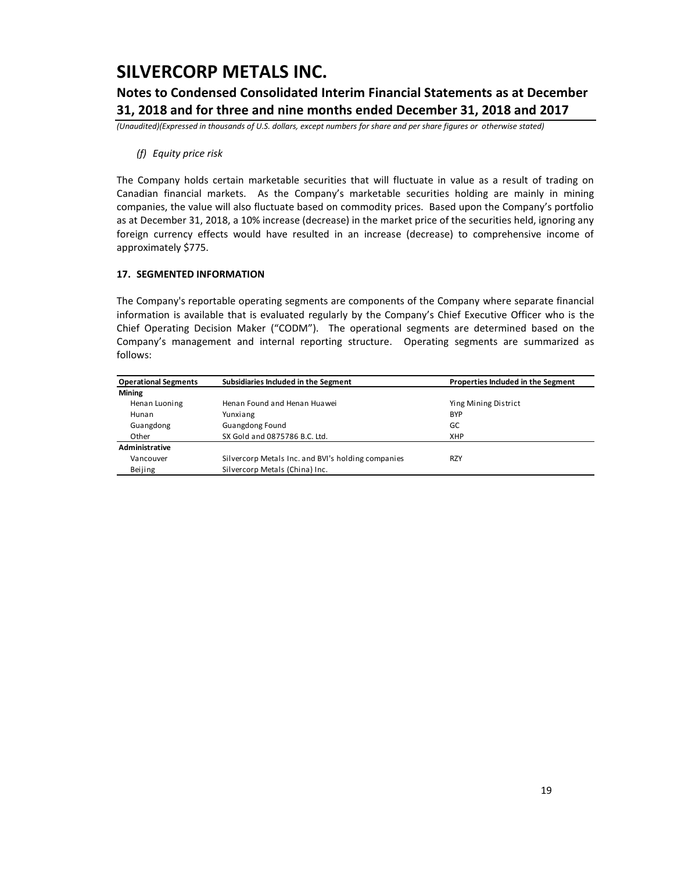### **Notes to Condensed Consolidated Interim Financial Statements as at December 31, 2018 and for three and nine months ended December 31, 2018 and 2017**

*(Unaudited)(Expressed in thousands of U.S. dollars, except numbers for share and per share figures or otherwise stated)*

### *(f) Equity price risk*

The Company holds certain marketable securities that will fluctuate in value as a result of trading on Canadian financial markets. As the Company's marketable securities holding are mainly in mining companies, the value will also fluctuate based on commodity prices. Based upon the Company's portfolio as at December 31, 2018, a 10% increase (decrease) in the market price of the securities held, ignoring any foreign currency effects would have resulted in an increase (decrease) to comprehensive income of approximately \$775.

### **17. SEGMENTED INFORMATION**

The Company's reportable operating segments are components of the Company where separate financial information is available that is evaluated regularly by the Company's Chief Executive Officer who is the Chief Operating Decision Maker ("CODM"). The operational segments are determined based on the Company's management and internal reporting structure. Operating segments are summarized as follows:

| <b>Operational Segments</b> | Subsidiaries Included in the Segment               | Properties Included in the Segment |
|-----------------------------|----------------------------------------------------|------------------------------------|
| <b>Mining</b>               |                                                    |                                    |
| Henan Luoning               | Henan Found and Henan Huawei                       | Ying Mining District               |
| Hunan                       | Yunxiang                                           | <b>BYP</b>                         |
| Guangdong                   | Guangdong Found                                    | GC                                 |
| Other                       | SX Gold and 0875786 B.C. Ltd.                      | XHP                                |
| Administrative              |                                                    |                                    |
| Vancouver                   | Silvercorp Metals Inc. and BVI's holding companies | <b>RZY</b>                         |
| Beijing                     | Silvercorp Metals (China) Inc.                     |                                    |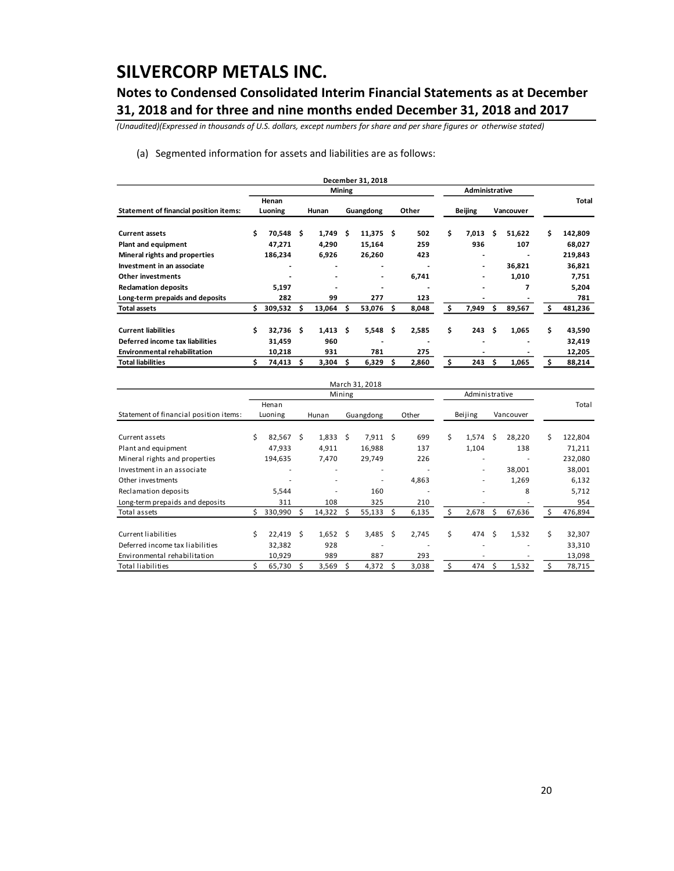## **Notes to Condensed Consolidated Interim Financial Statements as at December 31, 2018 and for three and nine months ended December 31, 2018 and 2017**

*(Unaudited)(Expressed in thousands of U.S. dollars, except numbers for share and per share figures or otherwise stated)*

(a) Segmented information for assets and liabilities are as follows:

|                                        |    |             |    |                 |        | December 31, 2018            |   |       |    |                          |    |           |    |         |
|----------------------------------------|----|-------------|----|-----------------|--------|------------------------------|---|-------|----|--------------------------|----|-----------|----|---------|
|                                        |    |             |    |                 | Mining |                              |   |       |    | Administrative           |    |           |    |         |
|                                        |    | Henan       |    |                 |        |                              |   |       |    |                          |    |           |    | Total   |
| Statement of financial position items: |    | Luoning     |    | Hunan           |        | Guangdong                    |   | Other |    | <b>Beijing</b>           |    | Vancouver |    |         |
| <b>Current assets</b>                  | \$ | 70,548      | -S | 1,749           | Ŝ      | $11,375$ \$                  |   | 502   | \$ | 7,013                    | Ś. | 51,622    | Ś. | 142,809 |
| <b>Plant and equipment</b>             |    | 47,271      |    | 4,290           |        | 15,164                       |   | 259   |    | 936                      |    | 107       |    | 68,027  |
| Mineral rights and properties          |    | 186,234     |    | 6,926           |        | 26,260                       |   | 423   |    |                          |    |           |    | 219,843 |
| Investment in an associate             |    |             |    |                 |        | ٠                            |   |       |    | $\overline{\phantom{a}}$ |    | 36,821    |    | 36,821  |
| Other investments                      |    |             |    | $\blacksquare$  |        | $\qquad \qquad \blacksquare$ |   | 6,741 |    |                          |    | 1,010     |    | 7,751   |
| <b>Reclamation deposits</b>            |    | 5,197       |    |                 |        | ٠                            |   |       |    |                          |    | 7         |    | 5,204   |
| Long-term prepaids and deposits        |    | 282         |    | 99              |        | 277                          |   | 123   |    |                          |    |           |    | 781     |
| <b>Total assets</b>                    | S  | 309,532     | s  | 13,064          | s      | 53,076                       | S | 8,048 | Ś  | 7,949                    | S  | 89,567    | S  | 481,236 |
| <b>Current liabilities</b>             | \$ | $32,736$ \$ |    | $1,413 \quad $$ |        | 5,548                        | Ŝ | 2,585 | \$ | 243                      | Ŝ  | 1,065     | \$ | 43,590  |
| Deferred income tax liabilities        |    | 31,459      |    | 960             |        |                              |   |       |    |                          |    |           |    | 32,419  |
| <b>Environmental rehabilitation</b>    |    | 10,218      |    | 931             |        | 781                          |   | 275   |    |                          |    |           |    | 12,205  |
| <b>Total liabilities</b>               |    | 74,413      |    | 3,304           |        | 6,329                        |   | 2,860 | \$ | 243                      | Ś  | 1,065     | Ś  | 88,214  |

|                                        |   |         |   |                          |        | March 31, 2018           |    |                |    |                          |    |           |    |         |
|----------------------------------------|---|---------|---|--------------------------|--------|--------------------------|----|----------------|----|--------------------------|----|-----------|----|---------|
|                                        |   |         |   |                          | Mining |                          |    | Administrative |    |                          |    |           |    |         |
|                                        |   | Henan   |   |                          |        |                          |    |                |    |                          |    |           |    | Total   |
| Statement of financial position items: |   | Luoning |   | Hunan                    |        | Guangdong                |    | Other          |    | Beijing                  |    | Vancouver |    |         |
| Current assets                         | Ś | 82,567  | S | $1,833 \quad$ \$         |        | 7,911                    | S  | 699            | \$ | 1,574                    | Ŝ  | 28,220    | Ś  | 122,804 |
| Plant and equipment                    |   | 47,933  |   | 4,911                    |        | 16,988                   |    | 137            |    | 1,104                    |    | 138       |    | 71,211  |
| Mineral rights and properties          |   | 194,635 |   | 7,470                    |        | 29,749                   |    | 226            |    | $\overline{\phantom{0}}$ |    |           |    | 232,080 |
| Investment in an associate             |   |         |   |                          |        | $\overline{\phantom{a}}$ |    |                |    | $\overline{\phantom{a}}$ |    | 38,001    |    | 38,001  |
| Other investments                      |   |         |   | $\overline{\phantom{a}}$ |        | ٠                        |    | 4,863          |    | $\overline{\phantom{a}}$ |    | 1,269     |    | 6,132   |
| Reclamation deposits                   |   | 5,544   |   |                          |        | 160                      |    |                |    |                          |    | 8         |    | 5,712   |
| Long-term prepaids and deposits        |   | 311     |   | 108                      |        | 325                      |    | 210            |    | $\overline{\phantom{0}}$ |    |           |    | 954     |
| Total assets                           |   | 330,990 | S | 14,322                   |        | 55,133                   | Ś  | 6,135          | Ś  | 2,678                    | S  | 67,636    | Ś  | 476,894 |
| Current liabilities                    | Ś | 22,419  | Ŝ | 1,652                    | Ŝ      | 3,485                    | Ś. | 2,745          | \$ | 474                      | Ŝ. | 1,532     | \$ | 32,307  |
| Deferred income tax liabilities        |   | 32,382  |   | 928                      |        |                          |    |                |    |                          |    |           |    | 33,310  |
| Environmental rehabilitation           |   | 10,929  |   | 989                      |        | 887                      |    | 293            |    |                          |    |           |    | 13,098  |
| <b>Total liabilities</b>               |   | 65,730  | Ś | 3,569                    |        | 4,372                    | Ś  | 3,038          | \$ | 474                      | Ś  | 1,532     | Ś  | 78,715  |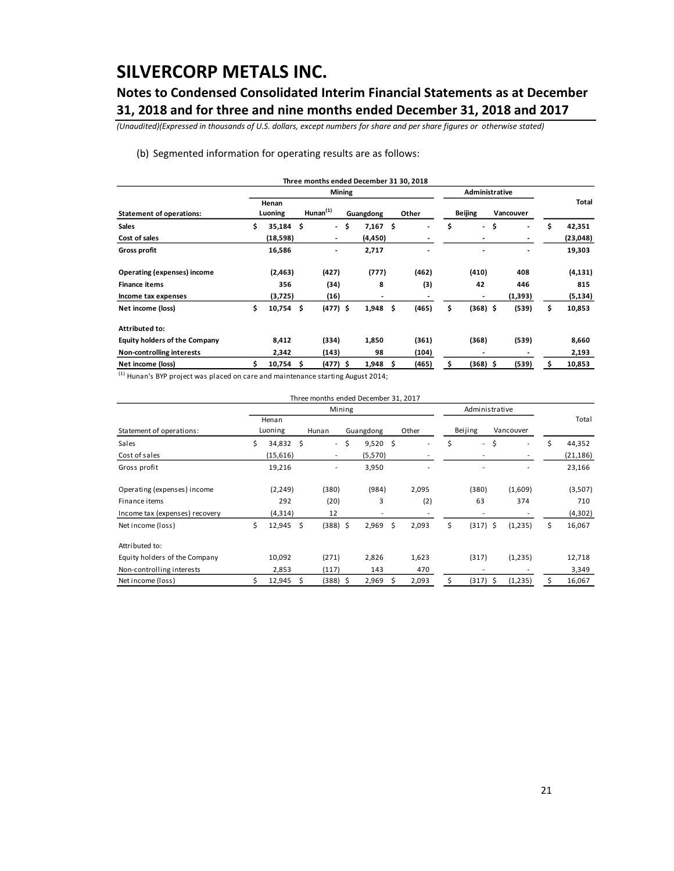## **Notes to Condensed Consolidated Interim Financial Statements as at December 31, 2018 and for three and nine months ended December 31, 2018 and 2017**

*(Unaudited)(Expressed in thousands of U.S. dollars, except numbers for share and per share figures or otherwise stated)*

#### (b) Segmented information for operating results are as follows:

|                                      |                   |    |                              |        | Three months ended December 31 30, 2018 |     |       |                |                          |    |                |    |          |
|--------------------------------------|-------------------|----|------------------------------|--------|-----------------------------------------|-----|-------|----------------|--------------------------|----|----------------|----|----------|
|                                      |                   |    |                              | Mining |                                         |     |       | Administrative |                          |    |                |    |          |
| <b>Statement of operations:</b>      | Henan<br>Luoning  |    | $H$ unan $(1)$               |        | Guangdong                               |     | Other |                | <b>Beijing</b>           |    | Vancouver      |    | Total    |
| <b>Sales</b>                         | \$<br>$35,184$ \$ |    | $\sim$                       | .\$    | 7,167                                   | \$  |       | \$             | $\overline{\phantom{a}}$ | \$ | $\blacksquare$ | \$ | 42,351   |
| Cost of sales                        | (18,598)          |    | $\overline{\phantom{a}}$     |        | (4,450)                                 |     |       |                |                          |    | ٠              |    | (23,048) |
| <b>Gross profit</b>                  | 16,586            |    | $\qquad \qquad \blacksquare$ |        | 2,717                                   |     |       |                |                          |    |                |    | 19,303   |
| Operating (expenses) income          | (2, 463)          |    | (427)                        |        | (777)                                   |     | (462) |                | (410)                    |    | 408            |    | (4, 131) |
| <b>Finance items</b>                 | 356               |    | (34)                         |        | 8                                       |     | (3)   |                | 42                       |    | 446            |    | 815      |
| Income tax expenses                  | (3,725)           |    | (16)                         |        | ٠                                       |     |       |                |                          |    | (1, 393)       |    | (5, 134) |
| Net income (loss)                    | \$<br>$10,754$ \$ |    | $(477)$ \$                   |        | 1,948                                   | \$. | (465) | \$             | $(368)$ \$               |    | (539)          | \$ | 10,853   |
| <b>Attributed to:</b>                |                   |    |                              |        |                                         |     |       |                |                          |    |                |    |          |
| <b>Equity holders of the Company</b> | 8,412             |    | (334)                        |        | 1,850                                   |     | (361) |                | (368)                    |    | (539)          |    | 8,660    |
| Non-controlling interests            | 2,342             |    | (143)                        |        | 98                                      |     | (104) |                | $\,$                     |    |                |    | 2,193    |
| Net income (loss)                    | 10,754            | -S | $(477)$ \$                   |        | 1,948                                   | S   | (465) | \$             | (368) \$                 |    | (539)          | s  | 10,853   |

 $(1)$  Hunan's BYP project was placed on care and maintenance starting August 2014;

|                                |                 |                          | Three months ended December 31, 2017 |      |                          |    |                |    |           |    |           |
|--------------------------------|-----------------|--------------------------|--------------------------------------|------|--------------------------|----|----------------|----|-----------|----|-----------|
|                                |                 | Mining                   |                                      |      |                          |    | Administrative |    |           |    |           |
|                                | Henan           |                          |                                      |      |                          |    |                |    |           |    | Total     |
| Statement of operations:       | Luoning         | Hunan                    | Guangdong                            |      | Other                    |    | Beijing        |    | Vancouver |    |           |
| Sales                          | \$<br>34,832 \$ | $\sim$                   | \$<br>9,520                          | - \$ | $\overline{\phantom{a}}$ | Ś  | $\sim$         | Ś. | ÷         | Ś  | 44,352    |
| Cost of sales                  | (15,616)        | $\overline{\phantom{a}}$ | (5, 570)                             |      |                          |    |                |    | $\sim$    |    | (21, 186) |
| Gross profit                   | 19,216          | -                        | 3,950                                |      |                          |    |                |    |           |    | 23,166    |
| Operating (expenses) income    | (2, 249)        | (380)                    | (984)                                |      | 2,095                    |    | (380)          |    | (1,609)   |    | (3,507)   |
| Finance items                  | 292             | (20)                     | 3                                    |      | (2)                      |    | 63             |    | 374       |    | 710       |
| Income tax (expenses) recovery | (4, 314)        | 12                       | ٠                                    |      |                          |    |                |    |           |    | (4,302)   |
| Net income (loss)              | \$<br>12,945    | \$<br>$(388)$ \$         | 2,969                                | \$   | 2,093                    | \$ | $(317)$ \$     |    | (1,235)   | \$ | 16,067    |
| Attributed to:                 |                 |                          |                                      |      |                          |    |                |    |           |    |           |
| Equity holders of the Company  | 10,092          | (271)                    | 2,826                                |      | 1,623                    |    | (317)          |    | (1,235)   |    | 12,718    |
| Non-controlling interests      | 2,853           | (117)                    | 143                                  |      | 470                      |    |                |    |           |    | 3,349     |
| Net income (loss)              | $12,945$ \$     | (388) \$                 | 2,969                                | S    | 2,093                    | \$ | (317)          | Ŝ  | (1,235)   | Ś  | 16,067    |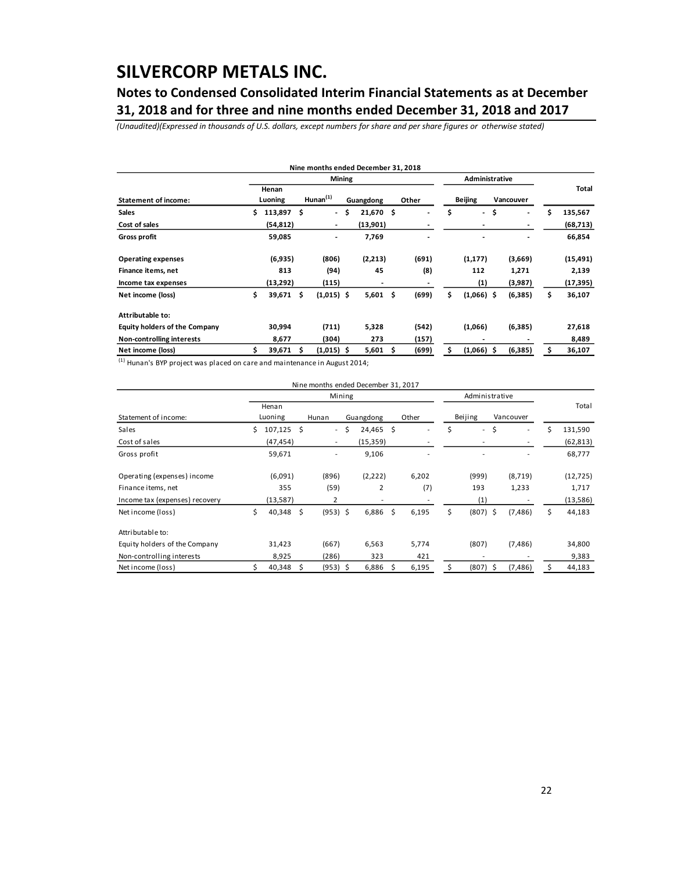## **Notes to Condensed Consolidated Interim Financial Statements as at December 31, 2018 and for three and nine months ended December 31, 2018 and 2017**

*(Unaudited)(Expressed in thousands of U.S. dollars, except numbers for share and per share figures or otherwise stated)*

|                                      |    |                  |   | Nine months ended December 31, 2018 |              |     |                |    |                          |    |           |               |
|--------------------------------------|----|------------------|---|-------------------------------------|--------------|-----|----------------|----|--------------------------|----|-----------|---------------|
|                                      |    |                  |   | Mining                              |              |     | Administrative |    |                          |    |           |               |
| <b>Statement of income:</b>          |    | Henan<br>Luoning |   | Hunnan <sup>(1)</sup>               | Guangdong    |     | Other          |    | <b>Beijing</b>           |    | Vancouver | Total         |
| <b>Sales</b>                         | s  | 113,897 \$       |   | $\blacksquare$                      | \$<br>21,670 | \$  | $\overline{a}$ | \$ | $\overline{\phantom{a}}$ | \$ | ٠         | \$<br>135,567 |
| Cost of sales                        |    | (54,812)         |   | $\overline{\phantom{a}}$            | (13,901)     |     |                |    |                          |    | ٠         | (68,713)      |
| <b>Gross profit</b>                  |    | 59,085           |   | $\blacksquare$                      | 7,769        |     |                |    |                          |    |           | 66,854        |
| <b>Operating expenses</b>            |    | (6,935)          |   | (806)                               | (2,213)      |     | (691)          |    | (1, 177)                 |    | (3,669)   | (15, 491)     |
| Finance items, net                   |    | 813              |   | (94)                                | 45           |     | (8)            |    | 112                      |    | 1,271     | 2,139         |
| Income tax expenses                  |    | (13,292)         |   | (115)                               | ٠            |     |                |    | (1)                      |    | (3,987)   | (17, 395)     |
| Net income (loss)                    | \$ | 39,671 \$        |   | $(1,015)$ \$                        | 5,601        | \$. | (699)          | \$ | $(1,066)$ \$             |    | (6, 385)  | \$<br>36,107  |
| Attributable to:                     |    |                  |   |                                     |              |     |                |    |                          |    |           |               |
| <b>Equity holders of the Company</b> |    | 30,994           |   | (711)                               | 5,328        |     | (542)          |    | (1,066)                  |    | (6,385)   | 27,618        |
| Non-controlling interests            |    | 8,677            |   | (304)                               | 273          |     | (157)          |    |                          |    |           | 8,489         |
| Net income (loss)                    |    | 39,671           | S | $(1,015)$ \$                        | 5,601        | S   | (699)          | \$ | $(1,066)$ \$             |    | (6,385)   | 36,107        |
| $\mathbf{f}$                         |    |                  |   |                                     |              |     |                |    |                          |    |           |               |

 $^{(1)}$  Hunan's BYP project was placed on care and maintenance in August 2014;

|                                |    |              |     | Nine months ended December 31, 2017 |              |    |                          |                                |              |           |    |           |
|--------------------------------|----|--------------|-----|-------------------------------------|--------------|----|--------------------------|--------------------------------|--------------|-----------|----|-----------|
|                                |    |              |     | Mining                              |              |    |                          | Administrative                 |              |           |    |           |
|                                |    | Henan        |     |                                     |              |    |                          |                                |              |           |    | Total     |
| Statement of income:           |    | Luoning      |     | Hunan                               | Guangdong    |    | Other                    | Beijing                        |              | Vancouver |    |           |
| Sales                          | Ś. | $107,125$ \$ |     | $\sim$                              | \$<br>24,465 | \$ | $\overline{\phantom{a}}$ | \$<br>$\overline{\phantom{0}}$ | \$           | ۰         | Ś  | 131,590   |
| Cost of sales                  |    | (47, 454)    |     | $\overline{\phantom{a}}$            | (15, 359)    |    |                          |                                |              |           |    | (62, 813) |
| Gross profit                   |    | 59,671       |     | $\overline{a}$                      | 9,106        |    |                          |                                |              |           |    | 68,777    |
| Operating (expenses) income    |    | (6,091)      |     | (896)                               | (2,222)      |    | 6,202                    | (999)                          |              | (8,719)   |    | (12, 725) |
| Finance items, net             |    | 355          |     | (59)                                | 2            |    | (7)                      | 193                            |              | 1,233     |    | 1,717     |
| Income tax (expenses) recovery |    | (13, 587)    |     | 2                                   | ٠            |    |                          | (1)                            |              |           |    | (13, 586) |
| Net income (loss)              | \$ | 40,348       | \$  | $(953)$ \$                          | 6,886        | \$ | 6,195                    | \$<br>$(807)$ \$               |              | (7, 486)  | \$ | 44,183    |
| Attributable to:               |    |              |     |                                     |              |    |                          |                                |              |           |    |           |
| Equity holders of the Company  |    | 31,423       |     | (667)                               | 6,563        |    | 5,774                    | (807)                          |              | (7, 486)  |    | 34,800    |
| Non-controlling interests      |    | 8,925        |     | (286)                               | 323          |    | 421                      |                                |              |           |    | 9,383     |
| Net income (loss)              |    | 40,348       | \$. | $(953)$ \$                          | 6,886        | S  | 6,195                    | \$<br>(807)                    | <sub>S</sub> | (7, 486)  | Ś  | 44,183    |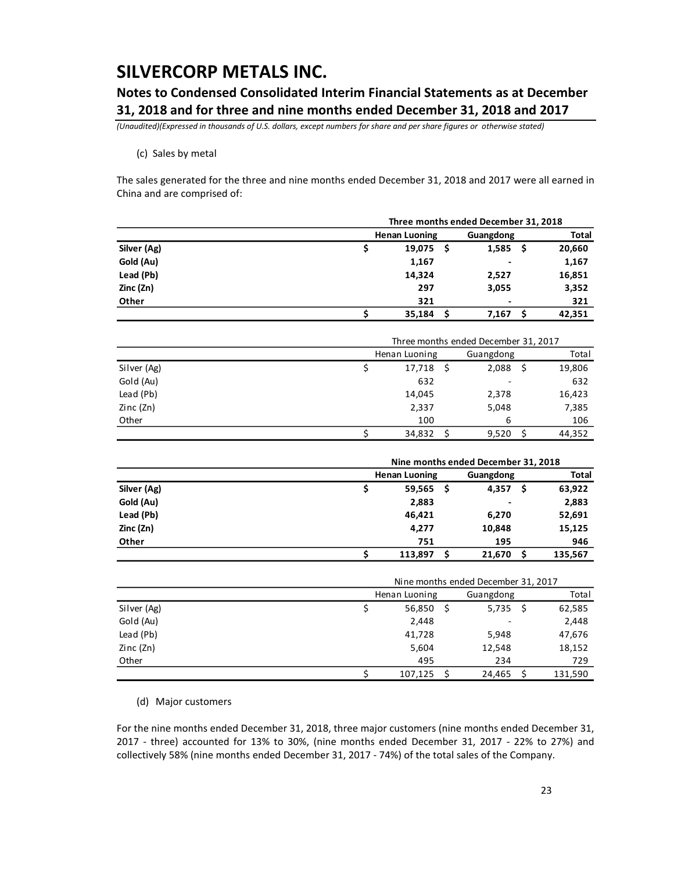### **Notes to Condensed Consolidated Interim Financial Statements as at December 31, 2018 and for three and nine months ended December 31, 2018 and 2017**

*(Unaudited)(Expressed in thousands of U.S. dollars, except numbers for share and per share figures or otherwise stated)*

#### (c) Sales by metal

The sales generated for the three and nine months ended December 31, 2018 and 2017 were all earned in China and are comprised of:

|             | Three months ended December 31, 2018 |     |                                      |        |  |  |  |  |  |
|-------------|--------------------------------------|-----|--------------------------------------|--------|--|--|--|--|--|
|             | <b>Henan Luoning</b>                 |     | Guangdong                            | Total  |  |  |  |  |  |
| Silver (Ag) | \$<br>19,075                         | \$. | Ŝ<br>1,585                           | 20,660 |  |  |  |  |  |
| Gold (Au)   | 1,167                                |     |                                      | 1,167  |  |  |  |  |  |
| Lead (Pb)   | 14,324                               |     | 2,527                                | 16,851 |  |  |  |  |  |
| Zinc (Zn)   | 297                                  |     | 3,055                                | 3,352  |  |  |  |  |  |
| Other       | 321                                  |     |                                      | 321    |  |  |  |  |  |
|             | \$<br>35,184                         | \$  | \$<br>7,167                          | 42,351 |  |  |  |  |  |
|             |                                      |     | Three months ended December 31, 2017 |        |  |  |  |  |  |
|             | Henan Luoning                        |     | Guangdong                            | Total  |  |  |  |  |  |
| Silver (Ag) | \$<br>17,718                         | \$  | - \$<br>2,088                        | 19,806 |  |  |  |  |  |
| Gold (Au)   | 632                                  |     |                                      | 632    |  |  |  |  |  |
| Lead (Pb)   | 14,045                               |     | 2,378                                | 16,423 |  |  |  |  |  |
| Zinc (Zn)   | 2,337                                |     | 5,048                                | 7,385  |  |  |  |  |  |
| Other       | 100                                  |     | 6                                    | 106    |  |  |  |  |  |
|             | \$<br>34,832                         | \$  | \$<br>9,520                          | 44,352 |  |  |  |  |  |
|             |                                      |     | Nine months ended December 31, 2018  |        |  |  |  |  |  |
|             | <b>Henan Luoning</b>                 |     | Guangdong                            | Total  |  |  |  |  |  |
| Silver (Ag) | \$<br>59,565                         | Ś   | Ŝ.<br>4,357                          | 63,922 |  |  |  |  |  |
| Gold (Au)   | 2,883                                |     |                                      | 2,883  |  |  |  |  |  |
| Lead (Pb)   | 46,421                               |     | 6,270                                | 52,691 |  |  |  |  |  |
| Zinc (Zn)   | 4,277                                |     | 10,848                               | 15,125 |  |  |  |  |  |

|             | Nine months ended December 31, 2017 |   |        |    |         |  |  |  |  |  |  |  |  |
|-------------|-------------------------------------|---|--------|----|---------|--|--|--|--|--|--|--|--|
|             | Henan Luoning<br>Guangdong          |   |        |    |         |  |  |  |  |  |  |  |  |
| Silver (Ag) | 56,850                              | S | 5,735  | -S | 62,585  |  |  |  |  |  |  |  |  |
| Gold (Au)   | 2,448                               |   |        |    | 2,448   |  |  |  |  |  |  |  |  |
| Lead (Pb)   | 41,728                              |   | 5,948  |    | 47,676  |  |  |  |  |  |  |  |  |
| Zinc (Zn)   | 5,604                               |   | 12,548 |    | 18,152  |  |  |  |  |  |  |  |  |
| Other       | 495                                 |   | 234    |    | 729     |  |  |  |  |  |  |  |  |
|             | 107.125                             |   | 24,465 |    | 131,590 |  |  |  |  |  |  |  |  |

**Other 751 195 946**

(d) Major customers

For the nine months ended December 31, 2018, three major customers (nine months ended December 31, 2017 - three) accounted for 13% to 30%, (nine months ended December 31, 2017 - 22% to 27%) and collectively 58% (nine months ended December 31, 2017 - 74%) of the total sales of the Company.

**\$ 113,897 \$ 21,670 \$ 135,567**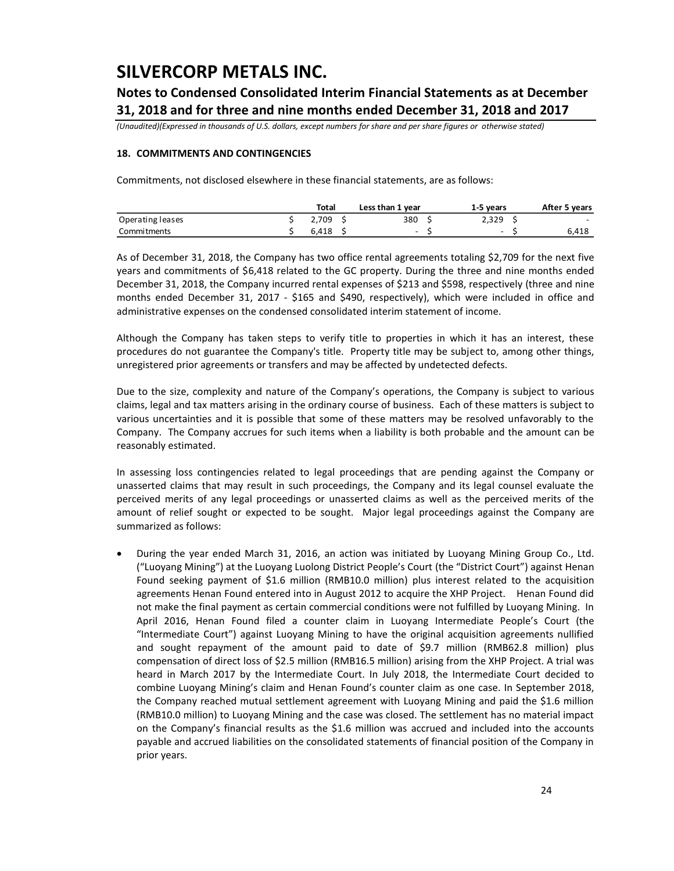## **Notes to Condensed Consolidated Interim Financial Statements as at December 31, 2018 and for three and nine months ended December 31, 2018 and 2017**

*(Unaudited)(Expressed in thousands of U.S. dollars, except numbers for share and per share figures or otherwise stated)*

### **18. COMMITMENTS AND CONTINGENCIES**

Commitments, not disclosed elsewhere in these financial statements, are as follows:

|                  | Total |  | Less than 1 year |  | 1-5 years |  | After 5 years |  |
|------------------|-------|--|------------------|--|-----------|--|---------------|--|
| Operating leases | 2.709 |  | 380              |  | 2,329     |  | $\sim$        |  |
| Commitments      | 6.418 |  | -                |  | -         |  | 6.418         |  |

As of December 31, 2018, the Company has two office rental agreements totaling \$2,709 for the next five years and commitments of \$6,418 related to the GC property. During the three and nine months ended December 31, 2018, the Company incurred rental expenses of \$213 and \$598, respectively (three and nine months ended December 31, 2017 - \$165 and \$490, respectively), which were included in office and administrative expenses on the condensed consolidated interim statement of income.

Although the Company has taken steps to verify title to properties in which it has an interest, these procedures do not guarantee the Company's title. Property title may be subject to, among other things, unregistered prior agreements or transfers and may be affected by undetected defects.

Due to the size, complexity and nature of the Company's operations, the Company is subject to various claims, legal and tax matters arising in the ordinary course of business. Each of these matters is subject to various uncertainties and it is possible that some of these matters may be resolved unfavorably to the Company. The Company accrues for such items when a liability is both probable and the amount can be reasonably estimated.

In assessing loss contingencies related to legal proceedings that are pending against the Company or unasserted claims that may result in such proceedings, the Company and its legal counsel evaluate the perceived merits of any legal proceedings or unasserted claims as well as the perceived merits of the amount of relief sought or expected to be sought. Major legal proceedings against the Company are summarized as follows:

 During the year ended March 31, 2016, an action was initiated by Luoyang Mining Group Co., Ltd. ("Luoyang Mining") at the Luoyang Luolong District People's Court (the "District Court") against Henan Found seeking payment of \$1.6 million (RMB10.0 million) plus interest related to the acquisition agreements Henan Found entered into in August 2012 to acquire the XHP Project. Henan Found did not make the final payment as certain commercial conditions were not fulfilled by Luoyang Mining. In April 2016, Henan Found filed a counter claim in Luoyang Intermediate People's Court (the "Intermediate Court") against Luoyang Mining to have the original acquisition agreements nullified and sought repayment of the amount paid to date of \$9.7 million (RMB62.8 million) plus compensation of direct loss of \$2.5 million (RMB16.5 million) arising from the XHP Project. A trial was heard in March 2017 by the Intermediate Court. In July 2018, the Intermediate Court decided to combine Luoyang Mining's claim and Henan Found's counter claim as one case. In September 2018, the Company reached mutual settlement agreement with Luoyang Mining and paid the \$1.6 million (RMB10.0 million) to Luoyang Mining and the case was closed. The settlement has no material impact on the Company's financial results as the \$1.6 million was accrued and included into the accounts payable and accrued liabilities on the consolidated statements of financial position of the Company in prior years.